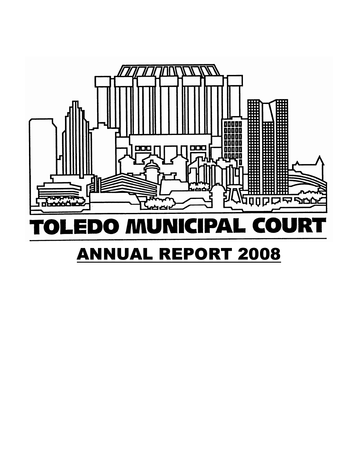

### Ri PAL COU DO MU Ξ  $\blacksquare$  $\mathbf{N}$  $\bullet$

# **ANNUAL REPORT 2008**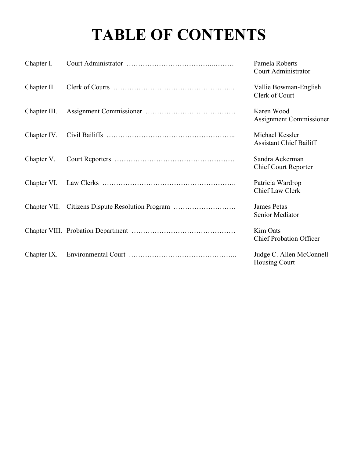# TABLE OF CONTENTS

| Chapter I.   |                                                  | Pamela Roberts<br>Court Administrator             |
|--------------|--------------------------------------------------|---------------------------------------------------|
| Chapter II.  |                                                  | Vallie Bowman-English<br>Clerk of Court           |
| Chapter III. |                                                  | Karen Wood<br><b>Assignment Commissioner</b>      |
| Chapter IV.  |                                                  | Michael Kessler<br><b>Assistant Chief Bailiff</b> |
| Chapter V.   |                                                  | Sandra Ackerman<br><b>Chief Court Reporter</b>    |
|              |                                                  | Patricia Wardrop<br>Chief Law Clerk               |
|              | Chapter VII. Citizens Dispute Resolution Program | James Petas<br>Senior Mediator                    |
|              |                                                  | Kim Oats<br><b>Chief Probation Officer</b>        |
| Chapter IX.  |                                                  | Judge C. Allen McConnell<br><b>Housing Court</b>  |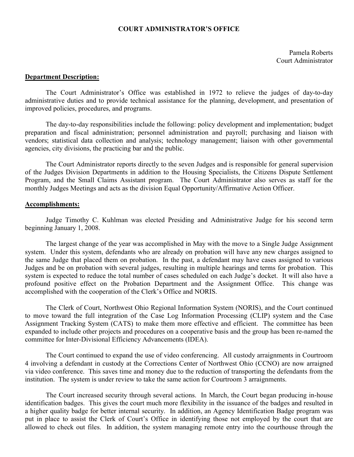# COURT ADMINISTRATOR'S OFFICE

Pamela Roberts Court Administrator

## Department Description:

 The Court Administrator's Office was established in 1972 to relieve the judges of day-to-day administrative duties and to provide technical assistance for the planning, development, and presentation of improved policies, procedures, and programs.

 The day-to-day responsibilities include the following: policy development and implementation; budget preparation and fiscal administration; personnel administration and payroll; purchasing and liaison with vendors; statistical data collection and analysis; technology management; liaison with other governmental agencies, city divisions, the practicing bar and the public.

The Court Administrator reports directly to the seven Judges and is responsible for general supervision of the Judges Division Departments in addition to the Housing Specialists, the Citizens Dispute Settlement Program, and the Small Claims Assistant program. The Court Administrator also serves as staff for the monthly Judges Meetings and acts as the division Equal Opportunity/Affirmative Action Officer.

### Accomplishments:

Judge Timothy C. Kuhlman was elected Presiding and Administrative Judge for his second term beginning January 1, 2008.

The largest change of the year was accomplished in May with the move to a Single Judge Assignment system. Under this system, defendants who are already on probation will have any new charges assigned to the same Judge that placed them on probation. In the past, a defendant may have cases assigned to various Judges and be on probation with several judges, resulting in multiple hearings and terms for probation. This system is expected to reduce the total number of cases scheduled on each Judge's docket. It will also have a profound positive effect on the Probation Department and the Assignment Office. This change was accomplished with the cooperation of the Clerk's Office and NORIS.

The Clerk of Court, Northwest Ohio Regional Information System (NORIS), and the Court continued to move toward the full integration of the Case Log Information Processing (CLIP) system and the Case Assignment Tracking System (CATS) to make them more effective and efficient. The committee has been expanded to include other projects and procedures on a cooperative basis and the group has been re-named the committee for Inter-Divisional Efficiency Advancements (IDEA).

The Court continued to expand the use of video conferencing. All custody arraignments in Courtroom 4 involving a defendant in custody at the Corrections Center of Northwest Ohio (CCNO) are now arraigned via video conference. This saves time and money due to the reduction of transporting the defendants from the institution. The system is under review to take the same action for Courtroom 3 arraignments.

The Court increased security through several actions. In March, the Court began producing in-house identification badges. This gives the court much more flexibility in the issuance of the badges and resulted in a higher quality badge for better internal security. In addition, an Agency Identification Badge program was put in place to assist the Clerk of Court's Office in identifying those not employed by the court that are allowed to check out files. In addition, the system managing remote entry into the courthouse through the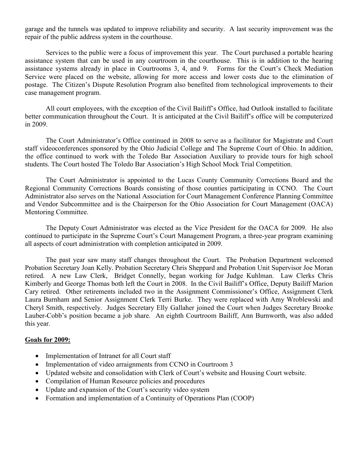garage and the tunnels was updated to improve reliability and security. A last security improvement was the repair of the public address system in the courthouse.

Services to the public were a focus of improvement this year. The Court purchased a portable hearing assistance system that can be used in any courtroom in the courthouse. This is in addition to the hearing assistance systems already in place in Courtrooms 3, 4, and 9. Forms for the Court's Check Mediation Service were placed on the website, allowing for more access and lower costs due to the elimination of postage. The Citizen's Dispute Resolution Program also benefited from technological improvements to their case management program.

All court employees, with the exception of the Civil Bailiff's Office, had Outlook installed to facilitate better communication throughout the Court. It is anticipated at the Civil Bailiff's office will be computerized in 2009.

The Court Administrator's Office continued in 2008 to serve as a facilitator for Magistrate and Court staff videoconferences sponsored by the Ohio Judicial College and The Supreme Court of Ohio. In addition, the office continued to work with the Toledo Bar Association Auxiliary to provide tours for high school students. The Court hosted The Toledo Bar Association's High School Mock Trial Competition.

The Court Administrator is appointed to the Lucas County Community Corrections Board and the Regional Community Corrections Boards consisting of those counties participating in CCNO. The Court Administrator also serves on the National Association for Court Management Conference Planning Committee and Vendor Subcommittee and is the Chairperson for the Ohio Association for Court Management (OACA) Mentoring Committee.

The Deputy Court Administrator was elected as the Vice President for the OACA for 2009. He also continued to participate in the Supreme Court's Court Management Program, a three-year program examining all aspects of court administration with completion anticipated in 2009.

The past year saw many staff changes throughout the Court. The Probation Department welcomed Probation Secretary Joan Kelly. Probation Secretary Chris Sheppard and Probation Unit Supervisor Joe Moran retired. A new Law Clerk, Bridget Connelly, began working for Judge Kuhlman. Law Clerks Chris Kimberly and George Thomas both left the Court in 2008. In the Civil Bailiff's Office, Deputy Bailiff Marion Cary retired. Other retirements included two in the Assignment Commissioner's Office, Assignment Clerk Laura Burnham and Senior Assignment Clerk Terri Burke. They were replaced with Amy Wroblewski and Cheryl Smith, respectively. Judges Secretary Elly Gallaher joined the Court when Judges Secretary Brooke Lauber-Cobb's position became a job share. An eighth Courtroom Bailiff, Ann Burnworth, was also added this year.

# Goals for 2009:

- Implementation of Intranet for all Court staff
- Implementation of video arraignments from CCNO in Courtroom 3
- Updated website and consolidation with Clerk of Court's website and Housing Court website.
- Compilation of Human Resource policies and procedures
- Update and expansion of the Court's security video system
- Formation and implementation of a Continuity of Operations Plan (COOP)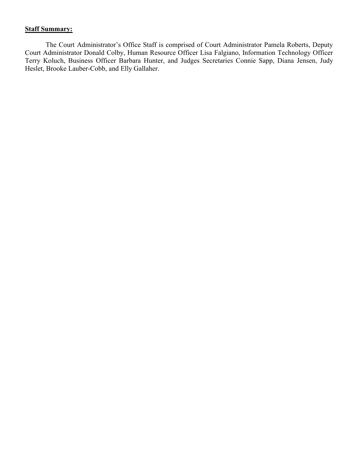# **Staff Summary:**

The Court Administrator's Office Staff is comprised of Court Administrator Pamela Roberts, Deputy Court Administrator Donald Colby, Human Resource Officer Lisa Falgiano, Information Technology Officer Terry Koluch, Business Officer Barbara Hunter, and Judges Secretaries Connie Sapp, Diana Jensen, Judy Heslet, Brooke Lauber-Cobb, and Elly Gallaher.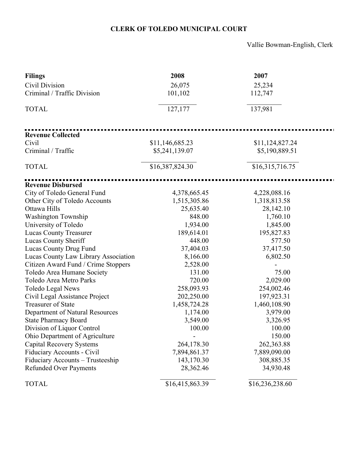# CLERK OF TOLEDO MUNICIPAL COURT

Vallie Bowman-English, Clerk

| <b>Filings</b>                       | 2008            | 2007            |
|--------------------------------------|-----------------|-----------------|
| Civil Division                       | 26,075          | 25,234          |
| Criminal / Traffic Division          | 101,102         | 112,747         |
|                                      |                 |                 |
| <b>TOTAL</b>                         | 127,177         | 137,981         |
|                                      |                 |                 |
| <b>Revenue Collected</b>             |                 |                 |
| Civil                                | \$11,146,685.23 | \$11,124,827.24 |
| Criminal / Traffic                   | \$5,241,139.07  | \$5,190,889.51  |
|                                      |                 |                 |
| <b>TOTAL</b>                         | \$16,387,824.30 | \$16,315,716.75 |
| <b>Revenue Disbursed</b>             |                 |                 |
| City of Toledo General Fund          | 4,378,665.45    | 4,228,088.16    |
| Other City of Toledo Accounts        | 1,515,305.86    | 1,318,813.58    |
| Ottawa Hills                         | 25,635.40       | 28,142.10       |
| <b>Washington Township</b>           | 848.00          | 1,760.10        |
| University of Toledo                 | 1,934.00        | 1,845.00        |
| <b>Lucas County Treasurer</b>        | 189,614.01      | 195,827.83      |
| Lucas County Sheriff                 | 448.00          | 577.50          |
| Lucas County Drug Fund               | 37,404.03       | 37,417.50       |
| Lucas County Law Library Association | 8,166.00        | 6,802.50        |
| Citizen Award Fund / Crime Stoppers  | 2,528.00        |                 |
| Toledo Area Humane Society           | 131.00          | 75.00           |
| Toledo Area Metro Parks              | 720.00          | 2,029.00        |
| Toledo Legal News                    | 258,093.93      | 254,002.46      |
| Civil Legal Assistance Project       | 202,250.00      | 197,923.31      |
| <b>Treasurer of State</b>            | 1,458,724.28    | 1,460,108.90    |
| Department of Natural Resources      | 1,174.00        | 3,979.00        |
| <b>State Pharmacy Board</b>          | 3,549.00        | 3,326.95        |
| Division of Liquor Control           | 100.00          | 100.00          |
| Ohio Department of Agriculture       |                 | 150.00          |
| <b>Capital Recovery Systems</b>      | 264,178.30      | 262,363.88      |
| Fiduciary Accounts - Civil           | 7,894,861.37    | 7,889,090.00    |
| Fiduciary Accounts - Trusteeship     | 143,170.30      | 308,885.35      |
| <b>Refunded Over Payments</b>        | 28,362.46       | 34,930.48       |
| <b>TOTAL</b>                         | \$16,415,863.39 | \$16,236,238.60 |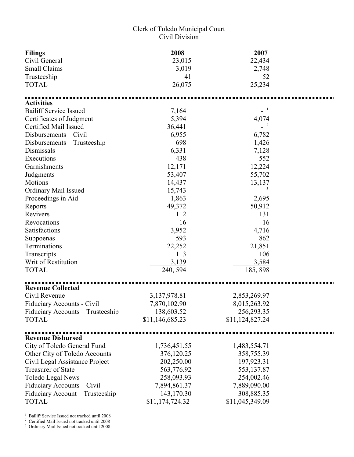# Clerk of Toledo Municipal Court Civil Division

| <b>Filings</b><br>Civil General<br><b>Small Claims</b> | 2008<br>23,015<br>3,019 | 2007<br>22,434<br>2,748 |  |
|--------------------------------------------------------|-------------------------|-------------------------|--|
| Trusteeship                                            | 41                      | 52                      |  |
| <b>TOTAL</b>                                           | 26,075                  | 25,234                  |  |
| <b>Activities</b>                                      |                         |                         |  |
| <b>Bailiff Service Issued</b>                          | 7,164                   | $-1$                    |  |
| Certificates of Judgment                               | 5,394                   | 4,074                   |  |
| Certified Mail Issued                                  | 36,441                  | $-2$                    |  |
| Disbursements – Civil                                  | 6,955                   | 6,782                   |  |
| Disbursements – Trusteeship                            | 698                     | 1,426                   |  |
| Dismissals                                             | 6,331                   | 7,128                   |  |
| Executions                                             | 438                     | 552                     |  |
| Garnishments                                           | 12,171                  | 12,224                  |  |
| Judgments                                              | 53,407                  | 55,702                  |  |
| <b>Motions</b>                                         | 14,437                  | 13,137                  |  |
| Ordinary Mail Issued                                   | 15,743                  | $\overline{\mathbf{3}}$ |  |
| Proceedings in Aid                                     | 1,863                   | 2,695                   |  |
| Reports                                                | 49,372                  | 50,912                  |  |
| Revivers                                               | 112                     | 131                     |  |
| Revocations                                            | 16                      | 16                      |  |
| Satisfactions                                          | 3,952                   | 4,716                   |  |
| Subpoenas                                              | 593                     | 862                     |  |
| Terminations                                           | 22,252                  | 21,851                  |  |
| Transcripts                                            | 113                     | 106                     |  |
| Writ of Restitution                                    | 3,139                   | 3,584                   |  |
| <b>TOTAL</b>                                           | 240, 594                | 185, 898                |  |
| <b>Revenue Collected</b>                               |                         |                         |  |
| Civil Revenue                                          | 3,137,978.81            | 2,853,269.97            |  |
| Fiduciary Accounts - Civil                             | 7,870,102.90            | 8,015,263.92            |  |
| Fiduciary Accounts – Trusteeship                       | 138,603.52              | 256,293.35              |  |
| <b>TOTAL</b>                                           | \$11,146,685.23         | \$11,124,827.24         |  |
|                                                        |                         |                         |  |
| <b>Revenue Disbursed</b>                               |                         |                         |  |
| City of Toledo General Fund                            | 1,736,451.55            | 1,483,554.71            |  |
| Other City of Toledo Accounts                          | 376,120.25              | 358,755.39              |  |
| Civil Legal Assistance Project                         | 202,250.00              | 197,923.31              |  |
| <b>Treasurer of State</b>                              | 563,776.92              | 553,137.87              |  |
| Toledo Legal News                                      | 258,093.93              | 254,002.46              |  |
| Fiduciary Accounts – Civil                             | 7,894,861.37            | 7,889,090.00            |  |
| Fiduciary Account – Trusteeship                        | 143,170.30              | 308,885.35              |  |
| <b>TOTAL</b>                                           | \$11,174,724.32         | \$11,045,349.09         |  |

<sup>1</sup> Bailiff Service Issued not tracked until 2008

<sup>2</sup> Certified Mail Issued not tracked until 2008

<sup>3</sup> Ordinary Mail Issued not tracked until 2008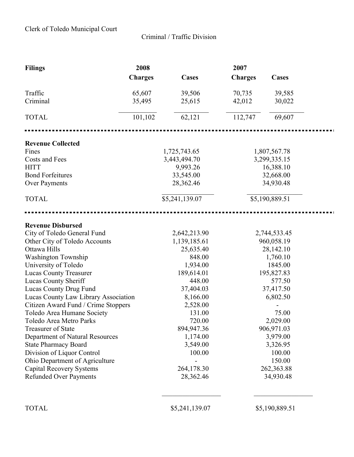Criminal / Traffic Division

| <b>Filings</b>                       | 2008           |                | 2007           |                |  |
|--------------------------------------|----------------|----------------|----------------|----------------|--|
|                                      | <b>Charges</b> | <b>Cases</b>   | <b>Charges</b> | Cases          |  |
| Traffic                              | 65,607         | 39,506         | 70,735         | 39,585         |  |
| Criminal                             | 35,495         | 25,615         | 42,012         | 30,022         |  |
| <b>TOTAL</b>                         | 101,102        | 62,121         | 112,747        | 69,607         |  |
|                                      |                |                |                |                |  |
| <b>Revenue Collected</b>             |                |                |                |                |  |
| Fines                                |                | 1,725,743.65   |                | 1,807,567.78   |  |
| Costs and Fees                       |                | 3,443,494.70   |                | 3,299,335.15   |  |
| <b>HITT</b>                          |                | 9,993.26       |                | 16,388.10      |  |
| <b>Bond Forfeitures</b>              |                | 33,545.00      |                | 32,668.00      |  |
| Over Payments                        |                | 28,362.46      |                | 34,930.48      |  |
| <b>TOTAL</b>                         |                | \$5,241,139.07 |                | \$5,190,889.51 |  |
|                                      |                |                |                |                |  |
| <b>Revenue Disbursed</b>             |                |                |                |                |  |
| City of Toledo General Fund          |                | 2,642,213.90   |                | 2,744,533.45   |  |
| Other City of Toledo Accounts        |                | 1,139,185.61   | 960,058.19     |                |  |
| Ottawa Hills                         |                | 25,635.40      | 28,142.10      |                |  |
| <b>Washington Township</b>           |                | 848.00         |                | 1,760.10       |  |
| University of Toledo                 |                | 1,934.00       |                | 1845.00        |  |
| <b>Lucas County Treasurer</b>        |                | 189,614.01     |                | 195,827.83     |  |
| Lucas County Sheriff                 |                | 448.00         |                | 577.50         |  |
| Lucas County Drug Fund               |                | 37,404.03      |                | 37,417.50      |  |
| Lucas County Law Library Association |                | 8,166.00       |                | 6,802.50       |  |
| Citizen Award Fund / Crime Stoppers  |                | 2,528.00       |                |                |  |
| Toledo Area Humane Society           |                | 131.00         |                | 75.00          |  |
| Toledo Area Metro Parks              |                | 720.00         |                | 2,029.00       |  |
| <b>Treasurer of State</b>            |                | 894,947.36     |                | 906,971.03     |  |
| Department of Natural Resources      |                | 1,174.00       |                | 3,979.00       |  |
| <b>State Pharmacy Board</b>          |                | 3,549.00       |                | 3,326.95       |  |
| Division of Liquor Control           |                | 100.00         |                | 100.00         |  |
| Ohio Department of Agriculture       |                |                |                | 150.00         |  |
| <b>Capital Recovery Systems</b>      |                | 264,178.30     |                | 262,363.88     |  |
| <b>Refunded Over Payments</b>        |                | 28,362.46      |                | 34,930.48      |  |
| <b>TOTAL</b>                         |                | \$5,241,139.07 |                | \$5,190,889.51 |  |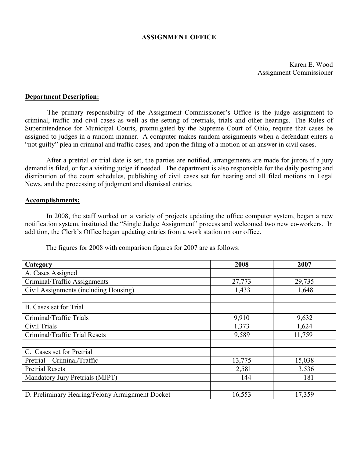# ASSIGNMENT OFFICE

Karen E. Wood Assignment Commissioner

### Department Description:

 The primary responsibility of the Assignment Commissioner's Office is the judge assignment to criminal, traffic and civil cases as well as the setting of pretrials, trials and other hearings. The Rules of Superintendence for Municipal Courts, promulgated by the Supreme Court of Ohio, require that cases be assigned to judges in a random manner. A computer makes random assignments when a defendant enters a "not guilty" plea in criminal and traffic cases, and upon the filing of a motion or an answer in civil cases.

 After a pretrial or trial date is set, the parties are notified, arrangements are made for jurors if a jury demand is filed, or for a visiting judge if needed. The department is also responsible for the daily posting and distribution of the court schedules, publishing of civil cases set for hearing and all filed motions in Legal News, and the processing of judgment and dismissal entries.

### Accomplishments:

 In 2008, the staff worked on a variety of projects updating the office computer system, began a new notification system, instituted the "Single Judge Assignment" process and welcomed two new co-workers. In addition, the Clerk's Office began updating entries from a work station on our office.

The figures for 2008 with comparison figures for 2007 are as follows:

| Category                                         | 2008   | 2007   |
|--------------------------------------------------|--------|--------|
| A. Cases Assigned                                |        |        |
| Criminal/Traffic Assignments                     | 27,773 | 29,735 |
| Civil Assignments (including Housing)            | 1,433  | 1,648  |
|                                                  |        |        |
| B. Cases set for Trial                           |        |        |
| Criminal/Traffic Trials                          | 9,910  | 9,632  |
| Civil Trials                                     | 1,373  | 1,624  |
| Criminal/Traffic Trial Resets                    | 9,589  | 11,759 |
|                                                  |        |        |
| C. Cases set for Pretrial                        |        |        |
| Pretrial – Criminal/Traffic                      | 13,775 | 15,038 |
| <b>Pretrial Resets</b>                           | 2,581  | 3,536  |
| Mandatory Jury Pretrials (MJPT)                  | 144    | 181    |
|                                                  |        |        |
| D. Preliminary Hearing/Felony Arraignment Docket | 16,553 | 17,359 |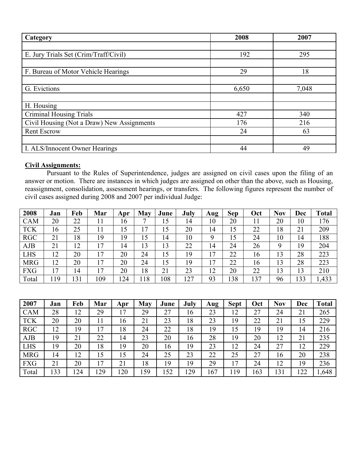| Category                                   | 2008  | 2007  |
|--------------------------------------------|-------|-------|
|                                            |       |       |
| E. Jury Trials Set (Crim/Traff/Civil)      | 192   | 295   |
|                                            |       |       |
| F. Bureau of Motor Vehicle Hearings        | 29    | 18    |
|                                            |       |       |
| G. Evictions                               | 6,650 | 7,048 |
|                                            |       |       |
| H. Housing                                 |       |       |
| <b>Criminal Housing Trials</b>             | 427   | 340   |
| Civil Housing (Not a Draw) New Assignments | 176   | 216   |
| <b>Rent Escrow</b>                         | 24    | 63    |
|                                            |       |       |
| I. ALS/Innocent Owner Hearings             | 44    | 49    |

# Civil Assignments:

 Pursuant to the Rules of Superintendence, judges are assigned on civil cases upon the filing of an answer or motion. There are instances in which judges are assigned on other than the above, such as Housing, reassignment, consolidation, assessment hearings, or transfers. The following figures represent the number of civil cases assigned during 2008 and 2007 per individual Judge:

| 2008       | Jan | Feb | Mar | Apr | May          | June | July | Aug | <b>Sep</b> | Oct | <b>Nov</b> | Dec | <b>Total</b> |
|------------|-----|-----|-----|-----|--------------|------|------|-----|------------|-----|------------|-----|--------------|
| <b>CAM</b> | 20  | 22  |     | 16  | $\mathbf{r}$ | 15   | 14   | 10  | 20         |     | 20         | 10  | 176          |
| <b>TCK</b> | 16  | 25  | 11  | 15  | 17           | 15   | 20   | 14  | 15         | 22  | 18         | 21  | 209          |
| <b>RGC</b> | 21  | 18  | 19  | 19  | 15           | 14   | 10   | Q   | 15         | 24  | 10         | 14  | 188          |
| <b>AJB</b> | 21  | 12  | 7   | 14  | 13           | 13   | 22   | 14  | 24         | 26  | Q          | 19  | 204          |
| <b>LHS</b> | 12  | 20  | 7   | 20  | 24           | 15   | 19   | 17  | 22         | 16  | 13         | 28  | 223          |
| <b>MRG</b> | 12  | 20  | ۱7  | 20  | 24           | 15   | 19   | 17  | 22         | 16  | 13         | 28  | 223          |
| <b>FXG</b> | 17  | 14  | -7  | 20  | 18           | 21   | 23   | 12  | 20         | 22  | 13         | 13  | 210          |
| Total      | 19  | 131 | 109 | .24 | 18           | 108  | 127  | 93  | 38         | 137 | 96         | 133 | 1,433        |

| 2007       | Jan | Feb | Mar | Apr | May | June | July | Aug | <b>Sept</b> | Oct | <b>Nov</b> | Dec | <b>Total</b> |
|------------|-----|-----|-----|-----|-----|------|------|-----|-------------|-----|------------|-----|--------------|
| <b>CAM</b> | 28  | 12  | 29  | 17  | 29  | 27   | 16   | 23  | 12          | 27  | 24         | 21  | 265          |
| <b>TCK</b> | 20  | 20  |     | 16  | 21  | 23   | 18   | 23  | 19          | 22  | 21         | 15  | 229          |
| <b>RGC</b> | 12  | 19  | 7   | 18  | 24  | 22   | 18   | 19  | 15          | 19  | 19         | 14  | 216          |
| <b>AJB</b> | 19  | 21  | 22  | 14  | 23  | 20   | 16   | 28  | 19          | 20  | 12         | 21  | 235          |
| <b>LHS</b> | 19  | 20  | 18  | 19  | 20  | 16   | 19   | 23  | 12          | 24  | 27         | 12  | 229          |
| <b>MRG</b> | 14  | 12  | 15  | 15  | 24  | 25   | 23   | 22  | 25          | 27  | 16         | 20  | 238          |
| <b>FXG</b> | 21  | 20  | 17  | 21  | 18  | 19   | 19   | 29  | 17          | 24  | 12         | 19  | 236          |
| Total      | 33  | 124 | 29  | 20  | 159 | 152  | 29   | 167 | 119         | 163 | 131        | 122 | 1,648        |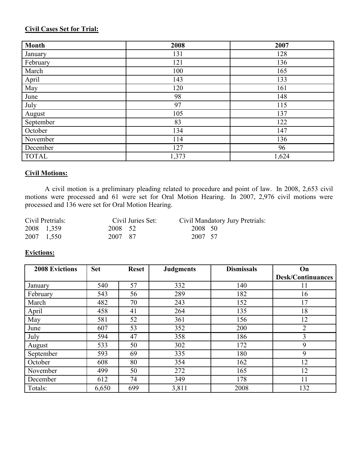# Civil Cases Set for Trial:

| <b>Month</b> | 2008  | 2007  |
|--------------|-------|-------|
| January      | 131   | 128   |
| February     | 121   | 136   |
| March        | 100   | 165   |
| April        | 143   | 133   |
| May          | 120   | 161   |
| June         | 98    | 148   |
| July         | 97    | 115   |
| August       | 105   | 137   |
| September    | 83    | 122   |
| October      | 134   | 147   |
| November     | 114   | 136   |
| December     | 127   | 96    |
| <b>TOTAL</b> | 1,373 | 1,624 |

# Civil Motions:

 A civil motion is a preliminary pleading related to procedure and point of law. In 2008, 2,653 civil motions were processed and 61 were set for Oral Motion Hearing. In 2007, 2,976 civil motions were processed and 136 were set for Oral Motion Hearing.

| Civil Pretrials: | Civil Juries Set: | Civil Mandatory Jury Pretrials: |
|------------------|-------------------|---------------------------------|
| 2008 1,359       | 2008 52           | 2008 50                         |
| 2007 1,550       | 2007 87           | 2007 57                         |

# Evictions:

| <b>2008 Evictions</b> | <b>Set</b><br><b>Reset</b> |     | <b>Judgments</b> | <b>Dismissals</b> | On                       |  |
|-----------------------|----------------------------|-----|------------------|-------------------|--------------------------|--|
|                       |                            |     |                  |                   | <b>Desk/Continuances</b> |  |
| January               | 540                        | 57  | 332              | 140               | 11                       |  |
| February              | 543                        | 56  | 289              | 182               | 16                       |  |
| March                 | 482                        | 70  | 243              | 152               | 17                       |  |
| April                 | 458                        | 41  | 264              | 135               | 18                       |  |
| May                   | 581                        | 52  | 361              | 156               | 12                       |  |
| June                  | 607                        | 53  | 352              | 200               | $\overline{2}$           |  |
| July                  | 594                        | 47  | 358              | 186               | 3                        |  |
| August                | 533                        | 50  | 302              | 172               | 9                        |  |
| September             | 593                        | 69  | 335              | 180               | 9                        |  |
| October               | 608                        | 80  | 354              | 162               | 12                       |  |
| November              | 499                        | 50  | 272              | 165               | 12                       |  |
| December              | 612                        | 74  | 349              | 178               | 11                       |  |
| Totals:               | 6,650                      | 699 | 3,811            | 2008              | 132                      |  |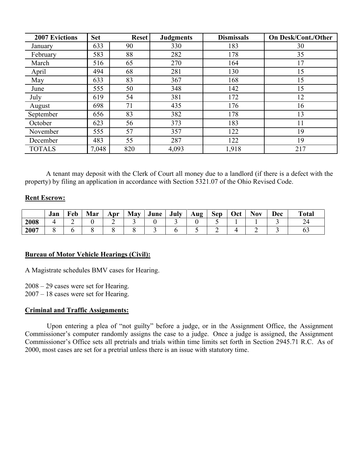| <b>2007 Evictions</b> | <b>Set</b> | <b>Reset</b> | <b>Judgments</b> | <b>Dismissals</b> | <b>On Desk/Cont./Other</b> |
|-----------------------|------------|--------------|------------------|-------------------|----------------------------|
| January               | 633        | 90           | 330              | 183               | 30                         |
| February              | 583        | 88           | 282              | 178               | 35                         |
| March                 | 516        | 65           | 270              | 164               | 17                         |
| April                 | 494        | 68           | 281              | 130               | 15                         |
| May                   | 633        | 83           | 367              | 168               | 15                         |
| June                  | 555        | 50           | 348              | 142               | 15                         |
| July                  | 619        | 54           | 381              | 172               | 12                         |
| August                | 698        | 71           | 435              | 176               | 16                         |
| September             | 656        | 83           | 382              | 178               | 13                         |
| October               | 623        | 56           | 373              | 183               | 11                         |
| November              | 555        | 57           | 357              | 122               | 19                         |
| December              | 483        | 55           | 287              | 122               | 19                         |
| <b>TOTALS</b>         | 7,048      | 820          | 4,093            | 1,918             | 217                        |

 A tenant may deposit with the Clerk of Court all money due to a landlord (if there is a defect with the property) by filing an application in accordance with Section 5321.07 of the Ohio Revised Code.

# **Rent Escrow:**

|      | Jan | Feb | Mar | Apr | May | June | July | Aug | Sep | Oct | <b>Nov</b> | <b>Dec</b> | <b>Total</b> |
|------|-----|-----|-----|-----|-----|------|------|-----|-----|-----|------------|------------|--------------|
| 2008 |     | -   |     | ∽   |     |      | ້    |     |     |     |            |            | $\sim$<br>∠⊣ |
| 2007 |     |     |     |     |     | -    |      |     | ∽   |     | ∽          |            | UJ           |

# Bureau of Motor Vehicle Hearings (Civil):

A Magistrate schedules BMV cases for Hearing.

2008 – 29 cases were set for Hearing.

2007 – 18 cases were set for Hearing.

# Criminal and Traffic Assignments:

 Upon entering a plea of "not guilty" before a judge, or in the Assignment Office, the Assignment Commissioner's computer randomly assigns the case to a judge. Once a judge is assigned, the Assignment Commissioner's Office sets all pretrials and trials within time limits set forth in Section 2945.71 R.C. As of 2000, most cases are set for a pretrial unless there is an issue with statutory time.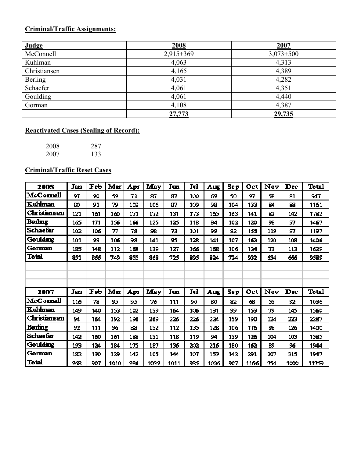# Criminal/Traffic Assignments:

| <b>Judge</b>   | 2008        | 2007        |
|----------------|-------------|-------------|
| McConnell      | $2,915+369$ | $3,073+500$ |
| Kuhlman        | 4,063       | 4,313       |
| Christiansen   | 4,165       | 4,389       |
| <b>Berling</b> | 4,031       | 4,282       |
| Schaefer       | 4,061       | 4,351       |
| Goulding       | 4,061       | 4,440       |
| Gorman         | 4,108       | 4,387       |
|                | 27,773      | 29,735      |

# Reactivated Cases (Sealing of Record):

| 2008 | 287 |
|------|-----|
| 2007 | 133 |

# Criminal/Traffic Reset Cases

| 2008                | Jan | Feb | Mar  | Apr | <b>May</b> | Jun  | Jul | Aug  | <b>Sep</b> | Oct  | Nov | Dec  | <b>Total</b> |
|---------------------|-----|-----|------|-----|------------|------|-----|------|------------|------|-----|------|--------------|
| McConnell           | 97  | 90  | 59   | 72  | 87         | 87   | 100 | 69   | 50         | 97   | 58  | 81   | 947          |
| Kuhlman             | 80  | 91  | 79   | 102 | 106        | 87   | 109 | 98   | 104        | 133  | 84  | 88   | 1161         |
| <b>Christiansen</b> | 121 | 161 | 160  | 171 | 172        | 131  | 173 | 165  | 163        | 141  | 82  | 142  | 1782         |
| <b>Berling</b>      | 165 | 171 | 156  | 166 | 125        | 125  | 118 | 84   | 102        | 120  | 98  | 37   | 1467         |
| <b>Schaefer</b>     | 102 | 106 | 77   | 78  | 98         | 73   | 101 | 99   | 92         | 155  | 119 | 97   | 1197         |
| Goulding            | 101 | 99  | 106  | 98  | 141        | 95   | 128 | 141  | 107        | 162  | 120 | 108  | 1406         |
| Gorman              | 185 | 148 | 112  | 168 | 139        | 127  | 166 | 168  | 106        | 124  | 73  | 113  | 1629         |
| Total               | 851 | 866 | 749  | 855 | 868        | 725  | 895 | 824  | 724        | 932  | 634 | 666  | 9589         |
|                     |     |     |      |     |            |      |     |      |            |      |     |      |              |
|                     |     |     |      |     |            |      |     |      |            |      |     |      |              |
|                     |     |     |      |     |            |      |     |      |            |      |     |      |              |
| 2007                | Jan | Feb | Mar  | Apr | <b>May</b> | Jun  | Jul | Aug  | Sep        | Oct  | Nov | Dec  | <b>Total</b> |
| McConnell           | 116 | 78  | 95   | 95  | 76         | 111  | 90  | 80   | 82         | 68   | 53  | 92   | 1036         |
| Kuhlman             | 149 | 140 | 153  | 102 | 139        | 164  | 106 | 131  | 99         | 153  | 79  | 145  | 1560         |
| <b>Christiansen</b> | 94  | 164 | 192  | 196 | 269        | 226  | 226 | 224  | 159        | 190  | 124 | 223  | 2287         |
| Berling             | 92  | 111 | 96   | 88  | 132        | 112  | 135 | 128  | 106        | 176  | 98  | 126  | 1400         |
| <b>Schaefer</b>     | 142 | 160 | 161  | 188 | 131        | 118  | 119 | 94   | 139        | 126  | 104 | 103  | 1585         |
| Goulding            | 193 | 124 | 184  | 175 | 187        | 136  | 202 | 216  | 180        | 162  | 89  | 96   | 1944         |
| Gorman              | 182 | 130 | 129  | 142 | 105        | 144  | 107 | 153  | 142        | 291  | 207 | 215  | 1947         |
| Total               | 968 | 907 | 1010 | 986 | 1039       | 1011 | 985 | 1026 | 907        | 1166 | 754 | 1000 | 11759        |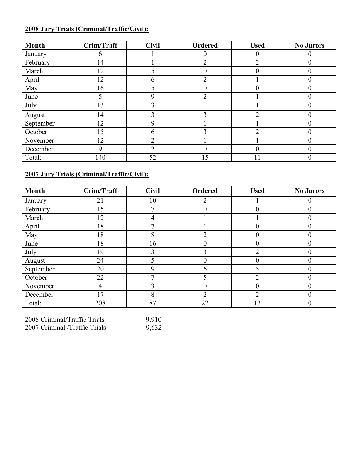# 2008 Jury Trials (Criminal/Traffic/Civil):

| <b>Month</b> | Crim/Traff | <b>Civil</b> | <b>Ordered</b> | <b>Used</b> | <b>No Jurors</b> |
|--------------|------------|--------------|----------------|-------------|------------------|
| January      | 6          |              | $\theta$       | $\theta$    | $\theta$         |
| February     | 14         |              | ∍              | C           | $\theta$         |
| March        | 12         |              |                | $\theta$    |                  |
| April        | 12         | 6            | ∍              |             | $\theta$         |
| May          | 16         |              | 0              | $\theta$    | $\theta$         |
| June         | 5          | Q            | ↑              |             | $\theta$         |
| July         | 13         | 3            |                |             | $\theta$         |
| August       | 14         | 3            | 3              | 2           | $\Omega$         |
| September    | 12         | 9            |                |             |                  |
| October      | 15         | 6            | ζ              | 2           | $\theta$         |
| November     | 12         |              |                |             |                  |
| December     | 9          | ◠            |                | $\theta$    |                  |
| Total:       | 140        | 52           | 15             |             |                  |

# 2007 Jury Trials (Criminal/Traffic/Civil):

| <b>Month</b> | Crim/Traff | <b>Civil</b> | Ordered                       | <b>Used</b>    | <b>No Jurors</b> |
|--------------|------------|--------------|-------------------------------|----------------|------------------|
| January      | 21         | 10           | 2                             |                | $\left($         |
| February     | 15         | 7            | $\theta$                      | $\theta$       | $\overline{0}$   |
| March        | 12         | 4            |                               |                | $\theta$         |
| April        | 18         |              |                               | 0              | $\Omega$         |
| May          | 18         | 8            | $\mathfrak{D}_{\mathfrak{p}}$ | $\theta$       | $\theta$         |
| June         | 18         | 16           |                               | $\mathbf{0}$   |                  |
| July         | 19         | 3            | 3                             | $\overline{2}$ | $\overline{0}$   |
| August       | 24         |              | 0                             | $\theta$       | $\theta$         |
| September    | 20         | 9            | h                             | 5              |                  |
| October      | 22         |              |                               | 2              | $\theta$         |
| November     | 4          | ↑            |                               | 0              |                  |
| December     | 17         | 8            | $\overline{2}$                | $\overline{2}$ | $\overline{0}$   |
| Total:       | 208        | 87           | 22                            | 13             | $\theta$         |

| 2008 Criminal/Traffic Trials   | 9,910 |
|--------------------------------|-------|
| 2007 Criminal /Traffic Trials: | 9,632 |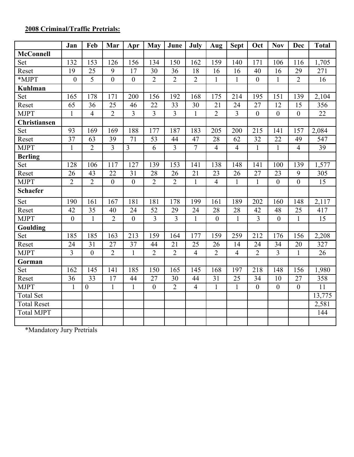# 2008 Criminal/Traffic Pretrials:

|                     | Jan              | Feb              | Mar              | Apr              | <b>May</b>              | June           | July           | Aug            | <b>Sept</b>    | Oct              | <b>Nov</b>     | Dec              | <b>Total</b>    |
|---------------------|------------------|------------------|------------------|------------------|-------------------------|----------------|----------------|----------------|----------------|------------------|----------------|------------------|-----------------|
| <b>McConnell</b>    |                  |                  |                  |                  |                         |                |                |                |                |                  |                |                  |                 |
| Set                 | 132              | 153              | 126              | 156              | 134                     | 150            | 162            | 159            | 140            | 171              | 106            | 116              | 1,705           |
| Reset               | 19               | 25               | 9                | 17               | 30                      | 36             | 18             | 16             | 16             | 40               | 16             | 29               | 271             |
| *MJPT               | $\boldsymbol{0}$ | 5                | $\boldsymbol{0}$ | $\boldsymbol{0}$ | $\overline{2}$          | $\overline{2}$ | $\overline{2}$ | $\mathbf{1}$   | $\mathbf{1}$   | $\boldsymbol{0}$ | $\mathbf{1}$   | $\overline{2}$   | 16              |
| <b>Kuhlman</b>      |                  |                  |                  |                  |                         |                |                |                |                |                  |                |                  |                 |
| Set                 | 165              | 178              | 171              | 200              | 156                     | 192            | 168            | 175            | 214            | 195              | 151            | 139              | 2,104           |
| Reset               | 65               | 36               | 25               | 46               | 22                      | 33             | 30             | 21             | 24             | 27               | 12             | 15               | 356             |
| <b>MJPT</b>         | $\mathbf{1}$     | $\overline{4}$   | $\overline{2}$   | $\overline{3}$   | $\overline{\mathbf{3}}$ | $\overline{3}$ | $\mathbf{1}$   | $\overline{2}$ | $\overline{3}$ | $\boldsymbol{0}$ | $\overline{0}$ | $\boldsymbol{0}$ | 22              |
| <b>Christiansen</b> |                  |                  |                  |                  |                         |                |                |                |                |                  |                |                  |                 |
| Set                 | 93               | 169              | 169              | 188              | 177                     | 187            | 183            | 205            | 200            | 215              | 141            | 157              | 2,084           |
| Reset               | 37               | 63               | 39               | 71               | 53                      | 44             | 47             | 28             | 62             | 32               | 22             | 49               | 547             |
| <b>MJPT</b>         | $\mathbf{1}$     | $\overline{2}$   | $\overline{3}$   | $\overline{3}$   | 6                       | $\overline{3}$ | $\overline{7}$ | $\overline{4}$ | $\overline{4}$ | $\mathbf{1}$     | 1              | $\overline{4}$   | 39              |
| <b>Berling</b>      |                  |                  |                  |                  |                         |                |                |                |                |                  |                |                  |                 |
| Set                 | 128              | 106              | 117              | 127              | 139                     | 153            | 141            | 138            | 148            | 141              | 100            | 139              | 1,577           |
| Reset               | 26               | 43               | 22               | 31               | 28                      | 26             | 21             | 23             | 26             | 27               | 23             | 9                | 305             |
| <b>MJPT</b>         | $\overline{2}$   | $\overline{2}$   | $\boldsymbol{0}$ | $\overline{0}$   | $\overline{2}$          | $\overline{2}$ | $\mathbf{1}$   | $\overline{4}$ | $\mathbf{1}$   | $\mathbf{1}$     | $\overline{0}$ | $\boldsymbol{0}$ | 15              |
| <b>Schaefer</b>     |                  |                  |                  |                  |                         |                |                |                |                |                  |                |                  |                 |
| Set                 | 190              | 161              | 167              | 181              | 181                     | 178            | 199            | 161            | 189            | 202              | 160            | 148              | 2,117           |
| Reset               | 42               | 35               | 40               | 24               | 52                      | 29             | 24             | 28             | 28             | 42               | 48             | 25               | 417             |
| <b>MJPT</b>         | $\boldsymbol{0}$ | $\mathbf{1}$     | $\overline{2}$   | $\overline{0}$   | $\overline{3}$          | 3              | $\mathbf{1}$   | $\overline{0}$ | $\mathbf{1}$   | $\overline{3}$   | $\overline{0}$ | $\mathbf{1}$     | 15              |
| Goulding            |                  |                  |                  |                  |                         |                |                |                |                |                  |                |                  |                 |
| Set                 | 185              | 185              | 163              | 213              | 159                     | 164            | 177            | 159            | 259            | 212              | 176            | 156              | 2,208           |
| Reset               | 24               | 31               | 27               | 37               | 44                      | 21             | 25             | 26             | 14             | 24               | 34             | 20               | 327             |
| <b>MJPT</b>         | $\overline{3}$   | $\boldsymbol{0}$ | $\overline{2}$   | $\mathbf{1}$     | $\overline{2}$          | $\overline{2}$ | $\overline{4}$ | $\overline{2}$ | $\overline{4}$ | $\overline{2}$   | $\overline{3}$ | $\mathbf{1}$     | 26              |
| Gorman              |                  |                  |                  |                  |                         |                |                |                |                |                  |                |                  |                 |
| Set                 | 162              | 145              | 141              | 185              | 150                     | 165            | 145            | 168            | 197            | 218              | 148            | 156              | 1,980           |
| Reset               | 36               | 33               | 17               | 44               | 27                      | 30             | 44             | 31             | 25             | 34               | 10             | 27               | 358             |
| <b>MJPT</b>         | $\mathbf{1}$     | $\overline{0}$   | $\mathbf{1}$     | $\mathbf{1}$     | $\mathbf{0}$            | $\overline{2}$ | $\overline{4}$ | 1              | $\mathbf{1}$   | $\overline{0}$   | $\theta$       | $\overline{0}$   | $\overline{11}$ |
| <b>Total Set</b>    |                  |                  |                  |                  |                         |                |                |                |                |                  |                |                  | 13,775          |
| <b>Total Reset</b>  |                  |                  |                  |                  |                         |                |                |                |                |                  |                |                  | 2,581           |
| <b>Total MJPT</b>   |                  |                  |                  |                  |                         |                |                |                |                |                  |                |                  | 144             |
|                     |                  |                  |                  |                  |                         |                |                |                |                |                  |                |                  |                 |

\*Mandatory Jury Pretrials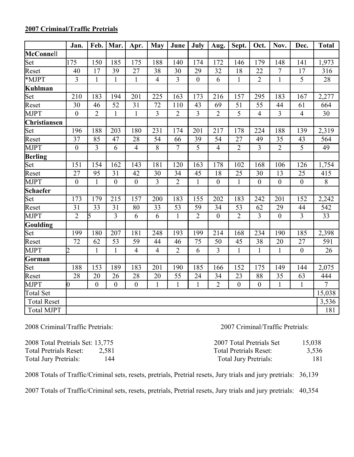|                     | Jan.             | Feb.           | Mar.            | Apr.             | <b>May</b>      | June           | July           | Aug.             | Sept.          | Oct.             | Nov.             | Dec.             | <b>Total</b>    |
|---------------------|------------------|----------------|-----------------|------------------|-----------------|----------------|----------------|------------------|----------------|------------------|------------------|------------------|-----------------|
| McConnell           |                  |                |                 |                  |                 |                |                |                  |                |                  |                  |                  |                 |
| Set                 | 175              | 150            | 185             | 175              | 188             | 140            | 174            | 172              | 146            | 179              | 148              | 141              | 1,973           |
| Reset               | 40               | 17             | 39              | 27               | 38              | 30             | 29             | 32               | 18             | 22               | $\overline{7}$   | 17               | 316             |
| *MJPT               | $\overline{3}$   | $\mathbf{1}$   | $\mathbf{1}$    | $\mathbf{1}$     | $\overline{4}$  | $\overline{3}$ | $\overline{0}$ | 6                | $\mathbf{1}$   | $\overline{2}$   | $\mathbf{1}$     | $\overline{5}$   | 28              |
| Kuhlman             |                  |                |                 |                  |                 |                |                |                  |                |                  |                  |                  |                 |
| Set                 | 210              | 183            | 194             | 201              | 225             | 163            | 173            | 216              | 157            | 295              | 183              | 167              | 2,277           |
| Reset               | 30               | 46             | $\overline{52}$ | 31               | 72              | 110            | 43             | 69               | 51             | $\overline{55}$  | 44               | 61               | 664             |
| <b>MJPT</b>         | $\boldsymbol{0}$ | $\overline{2}$ | $\mathbf{1}$    | $\mathbf{1}$     | $\overline{3}$  | $\overline{2}$ | $\overline{3}$ | $\overline{2}$   | $\overline{5}$ | $\overline{4}$   | $\overline{3}$   | $\overline{4}$   | 30              |
| <b>Christiansen</b> |                  |                |                 |                  |                 |                |                |                  |                |                  |                  |                  |                 |
| Set                 | 196              | 188            | 203             | 180              | 231             | 174            | 201            | 217              | 178            | 224              | 188              | 139              | 2,319           |
| Reset               | 37               | 85             | 47              | 28               | 54              | 66             | 39             | 54               | 27             | 49               | 35               | 43               | 564             |
| <b>MJPT</b>         | $\boldsymbol{0}$ | $\overline{3}$ | 6               | $\overline{4}$   | 8               | $\overline{7}$ | $\overline{5}$ | $\overline{4}$   | $\overline{2}$ | $\overline{3}$   | $\overline{2}$   | 5                | $\overline{49}$ |
| <b>Berling</b>      |                  |                |                 |                  |                 |                |                |                  |                |                  |                  |                  |                 |
| Set                 | 151              | 154            | 162             | 143              | 181             | 120            | 163            | 178              | 102            | 168              | 106              | 126              | 1,754           |
| Reset               | 27               | 95             | 31              | 42               | 30              | 34             | 45             | 18               | 25             | 30               | 13               | 25               | 415             |
| <b>MJPT</b>         | $\boldsymbol{0}$ | 1              | $\overline{0}$  | $\boldsymbol{0}$ | $\overline{3}$  | $\overline{2}$ | $\mathbf{1}$   | $\boldsymbol{0}$ | $\mathbf{1}$   | $\boldsymbol{0}$ | $\boldsymbol{0}$ | $\boldsymbol{0}$ | 8               |
| <b>Schaefer</b>     |                  |                |                 |                  |                 |                |                |                  |                |                  |                  |                  |                 |
| Set                 | 173              | 179            | 215             | 157              | 200             | 183            | 155            | 202              | 183            | 242              | 201              | 152              | 2,242           |
| Reset               | 31               | 33             | $\overline{31}$ | 80               | $\overline{33}$ | 53             | 59             | 34               | 53             | 62               | 29               | 44               | 542             |
| <b>MJPT</b>         | $\overline{2}$   | 5              | $\overline{3}$  | 6                | 6               | $\mathbf{1}$   | $\overline{2}$ | $\boldsymbol{0}$ | $\overline{2}$ | 3                | $\boldsymbol{0}$ | $\overline{3}$   | 33              |
| <b>Goulding</b>     |                  |                |                 |                  |                 |                |                |                  |                |                  |                  |                  |                 |
| Set                 | 199              | 180            | 207             | 181              | 248             | 193            | 199            | 214              | 168            | 234              | 190              | 185              | 2,398           |
| Reset               | 72               | 62             | 53              | 59               | 44              | 46             | 75             | 50               | 45             | 38               | 20               | 27               | 591             |
| <b>MJPT</b>         | $\overline{2}$   | 1              | $\mathbf{1}$    | $\overline{4}$   | $\overline{4}$  | $\overline{2}$ | 6              | $\overline{3}$   | $\mathbf{1}$   | $\mathbf{1}$     | $\mathbf{1}$     | $\boldsymbol{0}$ | 26              |
| Gorman              |                  |                |                 |                  |                 |                |                |                  |                |                  |                  |                  |                 |
| Set                 | 188              | 153            | 189             | 183              | 201             | 190            | 185            | 166              | 152            | 175              | 149              | 144              | 2,075           |
| Reset               | 28               | 20             | 26              | 28               | 20              | 55             | 24             | 34               | 23             | 88               | 35               | 63               | 444             |
| <b>MJPT</b>         | 0                | $\overline{0}$ | $\overline{0}$  | $\boldsymbol{0}$ | $\mathbf{1}$    | $\mathbf{1}$   | $\mathbf{1}$   | $\overline{2}$   | $\overline{0}$ | $\overline{0}$   | $\mathbf{1}$     | $\mathbf{1}$     | $\overline{7}$  |
| <b>Total Set</b>    |                  |                |                 |                  |                 |                |                |                  |                |                  |                  |                  | 15,038          |
| <b>Total Reset</b>  |                  |                |                 |                  |                 |                |                |                  |                |                  |                  |                  | 3,536           |
| <b>Total MJPT</b>   |                  |                |                 |                  |                 |                |                |                  |                |                  |                  |                  | 181             |

# 2007 Criminal/Traffic Pretrials

2008 Criminal/Traffic Pretrials: 2007 Criminal/Traffic Pretrials:

| 2008 Total Pretrials Set: 13,775 |       | 2007 Total Pretrials Set      | 15,038 |
|----------------------------------|-------|-------------------------------|--------|
| <b>Total Pretrials Reset:</b>    | 2.581 | <b>Total Pretrials Reset:</b> | 3,536  |
| <b>Total Jury Pretrials:</b>     | 144   | <b>Total Jury Pretrials:</b>  | 181    |

2008 Totals of Traffic/Criminal sets, resets, pretrials, Pretrial resets, Jury trials and jury pretrials: 36,139

2007 Totals of Traffic/Criminal sets, resets, pretrials, Pretrial resets, Jury trials and jury pretrials: 40,354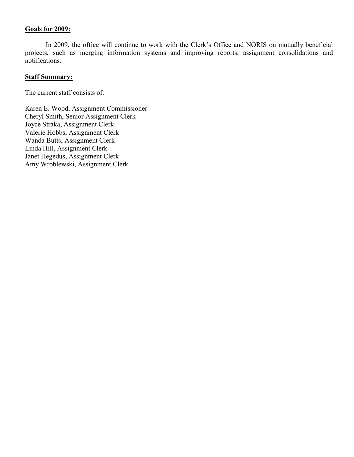# Goals for 2009:

In 2009, the office will continue to work with the Clerk's Office and NORIS on mutually beneficial projects, such as merging information systems and improving reports, assignment consolidations and notifications.

# **Staff Summary:**

The current staff consists of:

Karen E. Wood, Assignment Commissioner Cheryl Smith, Senior Assignment Clerk Joyce Straka, Assignment Clerk Valerie Hobbs, Assignment Clerk Wanda Butts, Assignment Clerk Linda Hill, Assignment Clerk Janet Hegedus, Assignment Clerk Amy Wroblewski, Assignment Clerk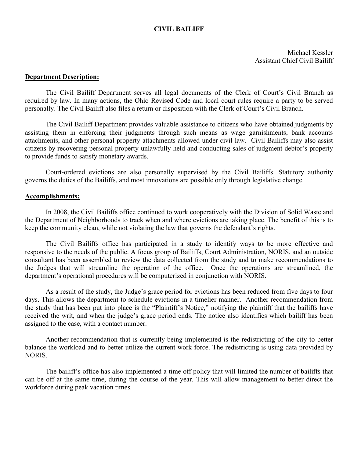# CIVIL BAILIFF

Michael Kessler Assistant Chief Civil Bailiff

# Department Description:

The Civil Bailiff Department serves all legal documents of the Clerk of Court's Civil Branch as required by law. In many actions, the Ohio Revised Code and local court rules require a party to be served personally. The Civil Bailiff also files a return or disposition with the Clerk of Court's Civil Branch.

The Civil Bailiff Department provides valuable assistance to citizens who have obtained judgments by assisting them in enforcing their judgments through such means as wage garnishments, bank accounts attachments, and other personal property attachments allowed under civil law. Civil Bailiffs may also assist citizens by recovering personal property unlawfully held and conducting sales of judgment debtor's property to provide funds to satisfy monetary awards.

Court-ordered evictions are also personally supervised by the Civil Bailiffs. Statutory authority governs the duties of the Bailiffs, and most innovations are possible only through legislative change.

### Accomplishments:

In 2008, the Civil Bailiffs office continued to work cooperatively with the Division of Solid Waste and the Department of Neighborhoods to track when and where evictions are taking place. The benefit of this is to keep the community clean, while not violating the law that governs the defendant's rights.

The Civil Bailiffs office has participated in a study to identify ways to be more effective and responsive to the needs of the public. A focus group of Bailiffs, Court Administration, NORIS, and an outside consultant has been assembled to review the data collected from the study and to make recommendations to the Judges that will streamline the operation of the office. Once the operations are streamlined, the department's operational procedures will be computerized in conjunction with NORIS.

As a result of the study, the Judge's grace period for evictions has been reduced from five days to four days. This allows the department to schedule evictions in a timelier manner. Another recommendation from the study that has been put into place is the "Plaintiff's Notice," notifying the plaintiff that the bailiffs have received the writ, and when the judge's grace period ends. The notice also identifies which bailiff has been assigned to the case, with a contact number.

Another recommendation that is currently being implemented is the redistricting of the city to better balance the workload and to better utilize the current work force. The redistricting is using data provided by NORIS.

The bailiff's office has also implemented a time off policy that will limited the number of bailiffs that can be off at the same time, during the course of the year. This will allow management to better direct the workforce during peak vacation times.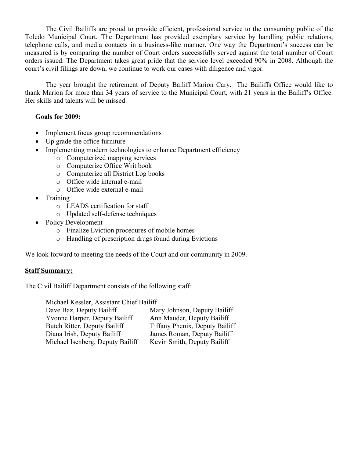The Civil Bailiffs are proud to provide efficient, professional service to the consuming public of the Toledo Municipal Court. The Department has provided exemplary service by handling public relations, telephone calls, and media contacts in a business-like manner. One way the Department's success can be measured is by comparing the number of Court orders successfully served against the total number of Court orders issued. The Department takes great pride that the service level exceeded 90% in 2008. Although the court's civil filings are down, we continue to work our cases with diligence and vigor.

The year brought the retirement of Deputy Bailiff Marion Cary. The Bailiffs Office would like to thank Marion for more than 34 years of service to the Municipal Court, with 21 years in the Bailiff's Office. Her skills and talents will be missed.

# Goals for 2009:

- Implement focus group recommendations
- Up grade the office furniture
- Implementing modern technologies to enhance Department efficiency
	- o Computerized mapping services
	- o Computerize Office Writ book
	- o Computerize all District Log books
	- o Office wide internal e-mail
	- o Office wide external e-mail
- Training
	- o LEADS certification for staff
	- o Updated self-defense techniques
- Policy Development
	- o Finalize Eviction procedures of mobile homes
	- o Handling of prescription drugs found during Evictions

We look forward to meeting the needs of the Court and our community in 2009.

# Staff Summary:

The Civil Bailiff Department consists of the following staff:

Michael Kessler, Assistant Chief Bailiff Dave Baz, Deputy Bailiff Mary Johnson, Deputy Bailiff Yvonne Harper, Deputy Bailiff Ann Mauder, Deputy Bailiff Butch Ritter, Deputy Bailiff Tiffany Phenix, Deputy Bailiff Diana Irish, Deputy Bailiff James Roman, Deputy Bailiff Michael Isenberg, Deputy Bailiff Kevin Smith, Deputy Bailiff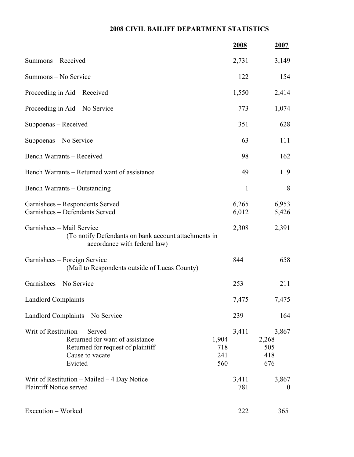# 2008 CIVIL BAILIFF DEPARTMENT STATISTICS

|                                                                                                                                     |                            | <u>2008</u>    | <u>2007</u>                         |
|-------------------------------------------------------------------------------------------------------------------------------------|----------------------------|----------------|-------------------------------------|
| Summons - Received                                                                                                                  |                            | 2,731          | 3,149                               |
| Summons - No Service                                                                                                                |                            | 122            | 154                                 |
| Proceeding in Aid – Received                                                                                                        |                            | 1,550          | 2,414                               |
| Proceeding in Aid – No Service                                                                                                      |                            | 773            | 1,074                               |
| Subpoenas – Received                                                                                                                |                            | 351            | 628                                 |
| Subpoenas – No Service                                                                                                              |                            | 63             | 111                                 |
| Bench Warrants – Received                                                                                                           |                            | 98             | 162                                 |
| Bench Warrants – Returned want of assistance                                                                                        |                            | 49             | 119                                 |
| Bench Warrants – Outstanding                                                                                                        |                            | 1              | 8                                   |
| Garnishees – Respondents Served<br>Garnishees - Defendants Served                                                                   |                            | 6,265<br>6,012 | 6,953<br>5,426                      |
| Garnishees - Mail Service<br>(To notify Defendants on bank account attachments in<br>accordance with federal law)                   |                            | 2,308          | 2,391                               |
| Garnishees – Foreign Service<br>(Mail to Respondents outside of Lucas County)                                                       |                            | 844            | 658                                 |
| Garnishees – No Service                                                                                                             |                            | 253            | 211                                 |
| <b>Landlord Complaints</b>                                                                                                          |                            | 7,475          | 7,475                               |
| Landlord Complaints - No Service                                                                                                    |                            | 239            | 164                                 |
| Writ of Restitution<br>Served<br>Returned for want of assistance<br>Returned for request of plaintiff<br>Cause to vacate<br>Evicted | 1,904<br>718<br>241<br>560 | 3,411          | 3,867<br>2,268<br>505<br>418<br>676 |
| Writ of Restitution $-$ Mailed $-$ 4 Day Notice<br>Plaintiff Notice served                                                          |                            | 3,411<br>781   | 3,867<br>$\theta$                   |
| Execution - Worked                                                                                                                  |                            | 222            | 365                                 |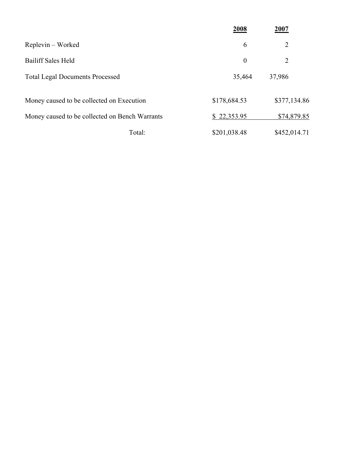|                                                | 2008             | 2007           |
|------------------------------------------------|------------------|----------------|
| Replevin – Worked                              | 6                | $\overline{2}$ |
| <b>Bailiff Sales Held</b>                      | $\boldsymbol{0}$ | 2              |
| <b>Total Legal Documents Processed</b>         | 35,464           | 37,986         |
| Money caused to be collected on Execution      | \$178,684.53     | \$377,134.86   |
| Money caused to be collected on Bench Warrants | \$22,353.95      | \$74,879.85    |
| Total:                                         | \$201,038.48     | \$452,014.71   |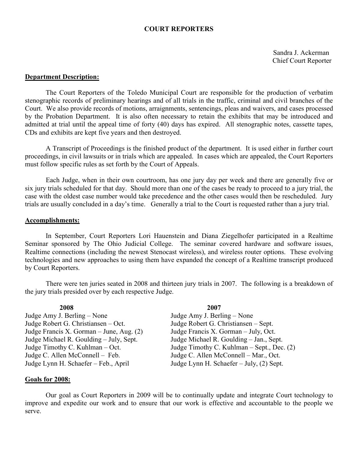# COURT REPORTERS

Sandra J. Ackerman Chief Court Reporter

### Department Description:

The Court Reporters of the Toledo Municipal Court are responsible for the production of verbatim stenographic records of preliminary hearings and of all trials in the traffic, criminal and civil branches of the Court. We also provide records of motions, arraignments, sentencings, pleas and waivers, and cases processed by the Probation Department. It is also often necessary to retain the exhibits that may be introduced and admitted at trial until the appeal time of forty (40) days has expired. All stenographic notes, cassette tapes, CDs and exhibits are kept five years and then destroyed.

A Transcript of Proceedings is the finished product of the department. It is used either in further court proceedings, in civil lawsuits or in trials which are appealed. In cases which are appealed, the Court Reporters must follow specific rules as set forth by the Court of Appeals.

Each Judge, when in their own courtroom, has one jury day per week and there are generally five or six jury trials scheduled for that day. Should more than one of the cases be ready to proceed to a jury trial, the case with the oldest case number would take precedence and the other cases would then be rescheduled. Jury trials are usually concluded in a day's time. Generally a trial to the Court is requested rather than a jury trial.

### Accomplishments:

In September, Court Reporters Lori Hauenstein and Diana Ziegelhofer participated in a Realtime Seminar sponsored by The Ohio Judicial College. The seminar covered hardware and software issues, Realtime connections (including the newest Stenocast wireless), and wireless router options. These evolving technologies and new approaches to using them have expanded the concept of a Realtime transcript produced by Court Reporters.

There were ten juries seated in 2008 and thirteen jury trials in 2007. The following is a breakdown of the jury trials presided over by each respective Judge.

Judge Amy J. Berling – None Judge Amy J. Berling – None Judge Robert G. Christiansen – Oct. Judge Robert G. Christiansen – Sept. Judge Francis X. Gorman – June, Aug.  $(2)$  Judge Francis X. Gorman – July, Oct. Judge Michael R. Goulding – July, Sept. Judge Michael R. Goulding – Jan., Sept. Judge C. Allen McConnell – Feb. Judge C. Allen McConnell – Mar., Oct. Judge Lynn H. Schaefer – Feb., April Judge Lynn H. Schaefer – July, (2) Sept.

# 2008 2007

Judge Timothy C. Kuhlman – Oct. Judge Timothy C. Kuhlman – Sept., Dec. (2)

### Goals for 2008:

Our goal as Court Reporters in 2009 will be to continually update and integrate Court technology to improve and expedite our work and to ensure that our work is effective and accountable to the people we serve.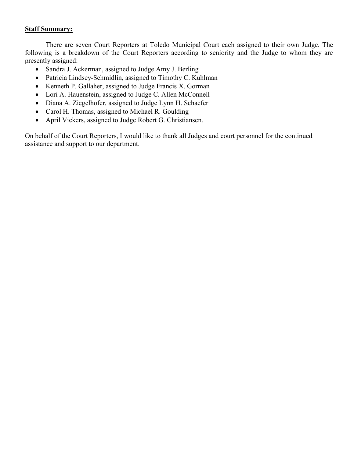# Staff Summary:

There are seven Court Reporters at Toledo Municipal Court each assigned to their own Judge. The following is a breakdown of the Court Reporters according to seniority and the Judge to whom they are presently assigned:

- Sandra J. Ackerman, assigned to Judge Amy J. Berling
- Patricia Lindsey-Schmidlin, assigned to Timothy C. Kuhlman
- Kenneth P. Gallaher, assigned to Judge Francis X. Gorman
- Lori A. Hauenstein, assigned to Judge C. Allen McConnell
- Diana A. Ziegelhofer, assigned to Judge Lynn H. Schaefer
- Carol H. Thomas, assigned to Michael R. Goulding
- April Vickers, assigned to Judge Robert G. Christiansen.

On behalf of the Court Reporters, I would like to thank all Judges and court personnel for the continued assistance and support to our department.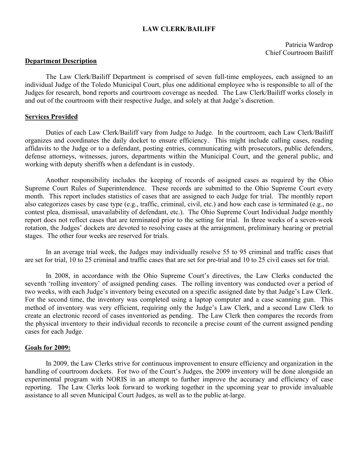# LAW CLERK/BAILIFF

Patricia Wardrop Chief Courtroom Bailiff

### Department Description

The Law Clerk/Bailiff Department is comprised of seven full-time employees, each assigned to an individual Judge of the Toledo Municipal Court, plus one additional employee who is responsible to all of the Judges for research, bond reports and courtroom coverage as needed. The Law Clerk/Bailiff works closely in and out of the courtroom with their respective Judge, and solely at that Judge's discretion.

### Services Provided

Duties of each Law Clerk/Bailiff vary from Judge to Judge. In the courtroom, each Law Clerk/Bailiff organizes and coordinates the daily docket to ensure efficiency. This might include calling cases, reading affidavits to the Judge or to a defendant, posting entries, communicating with prosecutors, public defenders, defense attorneys, witnesses, jurors, departments within the Municipal Court, and the general public, and working with deputy sheriffs when a defendant is in custody.

Another responsibility includes the keeping of records of assigned cases as required by the Ohio Supreme Court Rules of Superintendence. These records are submitted to the Ohio Supreme Court every month. This report includes statistics of cases that are assigned to each Judge for trial. The monthly report also categorizes cases by case type (e.g., traffic, criminal, civil, etc.) and how each case is terminated (e.g., no contest plea, dismissal, unavailability of defendant, etc.). The Ohio Supreme Court Individual Judge monthly report does not reflect cases that are terminated prior to the setting for trial. In three weeks of a seven-week rotation, the Judges' dockets are devoted to resolving cases at the arraignment, preliminary hearing or pretrial stages. The other four weeks are reserved for trials.

In an average trial week, the Judges may individually resolve 55 to 95 criminal and traffic cases that are set for trial, 10 to 25 criminal and traffic cases that are set for pre-trial and 10 to 25 civil cases set for trial.

In 2008, in accordance with the Ohio Supreme Court's directives, the Law Clerks conducted the seventh 'rolling inventory' of assigned pending cases. The rolling inventory was conducted over a period of two weeks, with each Judge's inventory being executed on a specific assigned date by that Judge's Law Clerk. For the second time, the inventory was completed using a laptop computer and a case scanning gun. This method of inventory was very efficient, requiring only the Judge's Law Clerk, and a second Law Clerk to create an electronic record of cases inventoried as pending. The Law Clerk then compares the records from the physical inventory to their individual records to reconcile a precise count of the current assigned pending cases for each Judge.

### Goals for 2009:

In 2009, the Law Clerks strive for continuous improvement to ensure efficiency and organization in the handling of courtroom dockets. For two of the Court's Judges, the 2009 inventory will be done alongside an experimental program with NORIS in an attempt to further improve the accuracy and efficiency of case reporting. The Law Clerks look forward to working together in the upcoming year to provide invaluable assistance to all seven Municipal Court Judges, as well as to the public at-large.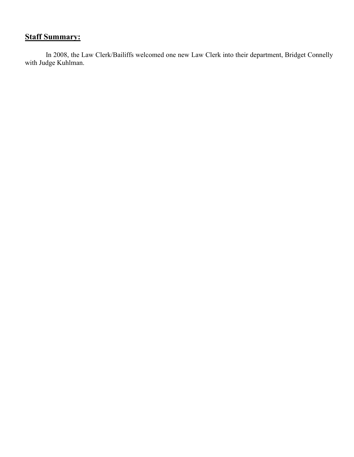# **Staff Summary:**

In 2008, the Law Clerk/Bailiffs welcomed one new Law Clerk into their department, Bridget Connelly with Judge Kuhlman.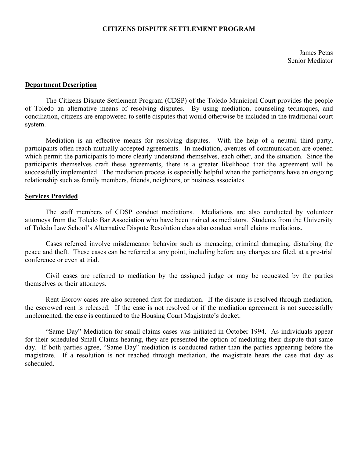# CITIZENS DISPUTE SETTLEMENT PROGRAM

James Petas Senior Mediator

### Department Description

The Citizens Dispute Settlement Program (CDSP) of the Toledo Municipal Court provides the people of Toledo an alternative means of resolving disputes. By using mediation, counseling techniques, and conciliation, citizens are empowered to settle disputes that would otherwise be included in the traditional court system.

Mediation is an effective means for resolving disputes. With the help of a neutral third party, participants often reach mutually accepted agreements. In mediation, avenues of communication are opened which permit the participants to more clearly understand themselves, each other, and the situation. Since the participants themselves craft these agreements, there is a greater likelihood that the agreement will be successfully implemented. The mediation process is especially helpful when the participants have an ongoing relationship such as family members, friends, neighbors, or business associates.

### Services Provided

The staff members of CDSP conduct mediations. Mediations are also conducted by volunteer attorneys from the Toledo Bar Association who have been trained as mediators. Students from the University of Toledo Law School's Alternative Dispute Resolution class also conduct small claims mediations.

Cases referred involve misdemeanor behavior such as menacing, criminal damaging, disturbing the peace and theft. These cases can be referred at any point, including before any charges are filed, at a pre-trial conference or even at trial.

Civil cases are referred to mediation by the assigned judge or may be requested by the parties themselves or their attorneys.

Rent Escrow cases are also screened first for mediation. If the dispute is resolved through mediation, the escrowed rent is released. If the case is not resolved or if the mediation agreement is not successfully implemented, the case is continued to the Housing Court Magistrate's docket.

"Same Day" Mediation for small claims cases was initiated in October 1994. As individuals appear for their scheduled Small Claims hearing, they are presented the option of mediating their dispute that same day. If both parties agree, "Same Day" mediation is conducted rather than the parties appearing before the magistrate. If a resolution is not reached through mediation, the magistrate hears the case that day as scheduled.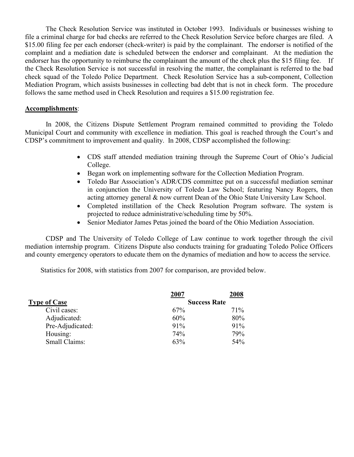The Check Resolution Service was instituted in October 1993. Individuals or businesses wishing to file a criminal charge for bad checks are referred to the Check Resolution Service before charges are filed. A \$15.00 filing fee per each endorser (check-writer) is paid by the complainant. The endorser is notified of the complaint and a mediation date is scheduled between the endorser and complainant. At the mediation the endorser has the opportunity to reimburse the complainant the amount of the check plus the \$15 filing fee. If the Check Resolution Service is not successful in resolving the matter, the complainant is referred to the bad check squad of the Toledo Police Department. Check Resolution Service has a sub-component, Collection Mediation Program, which assists businesses in collecting bad debt that is not in check form. The procedure follows the same method used in Check Resolution and requires a \$15.00 registration fee.

# Accomplishments:

In 2008, the Citizens Dispute Settlement Program remained committed to providing the Toledo Municipal Court and community with excellence in mediation. This goal is reached through the Court's and CDSP's commitment to improvement and quality. In 2008, CDSP accomplished the following:

- CDS staff attended mediation training through the Supreme Court of Ohio's Judicial College.
- Began work on implementing software for the Collection Mediation Program.
- Toledo Bar Association's ADR/CDS committee put on a successful mediation seminar in conjunction the University of Toledo Law School; featuring Nancy Rogers, then acting attorney general & now current Dean of the Ohio State University Law School.
- Completed instillation of the Check Resolution Program software. The system is projected to reduce administrative/scheduling time by 50%.
- Senior Mediator James Petas joined the board of the Ohio Mediation Association.

CDSP and The University of Toledo College of Law continue to work together through the civil mediation internship program. Citizens Dispute also conducts training for graduating Toledo Police Officers and county emergency operators to educate them on the dynamics of mediation and how to access the service.

Statistics for 2008, with statistics from 2007 for comparison, are provided below.

|                     | 2007                | 2008 |
|---------------------|---------------------|------|
| <b>Type of Case</b> | <b>Success Rate</b> |      |
| Civil cases:        | 67%                 | 71\% |
| Adjudicated:        | 60%                 | 80%  |
| Pre-Adjudicated:    | 91%                 | 91%  |
| Housing:            | 74%                 | 79%  |
| Small Claims:       | 63%                 | 54%  |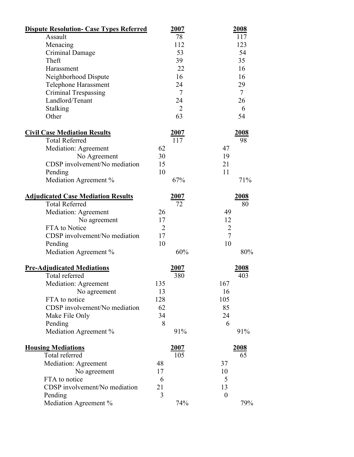| <b>Dispute Resolution- Case Types Referred</b> | 2007           | 2008             |
|------------------------------------------------|----------------|------------------|
| Assault                                        | 78             | 117              |
| Menacing                                       | 112            | 123              |
| Criminal Damage                                | 53             | 54               |
| Theft                                          | 39             | 35               |
| Harassment                                     | 22             | 16               |
| Neighborhood Dispute                           | 16             | 16               |
| Telephone Harassment                           | 24             | 29               |
| Criminal Trespassing                           | $\tau$         | $\tau$           |
| Landlord/Tenant                                | 24             | 26               |
| <b>Stalking</b>                                | $\overline{2}$ | 6                |
| Other                                          | 63             | 54               |
| <b>Civil Case Mediation Results</b>            | 2007           | <u>2008</u>      |
| <b>Total Referred</b>                          | 117            | 98               |
| Mediation: Agreement                           | 62             | 47               |
| No Agreement                                   | 30             | 19               |
| CDSP involvement/No mediation                  | 15             | 21               |
| Pending                                        | 10             | 11               |
| Mediation Agreement %                          | 67%            | 71%              |
| <b>Adjudicated Case Mediation Results</b>      | 2007           | 2008             |
| <b>Total Referred</b>                          | 72             | 80               |
| Mediation: Agreement                           | 26             | 49               |
| No agreement                                   | 17             | 12               |
| FTA to Notice                                  | $\overline{2}$ | $\overline{2}$   |
| CDSP involvement/No mediation                  | 17             | $\overline{7}$   |
| Pending                                        | 10             | 10               |
| Mediation Agreement %                          | 60%            | 80%              |
| <b>Pre-Adjudicated Mediations</b>              | 2007           | <u>2008</u>      |
| Total referred                                 | 380            | 403              |
| Mediation: Agreement                           | 135            | 167              |
| No agreement                                   | 13             | 16               |
| FTA to notice                                  | 128            | 105              |
| CDSP involvement/No mediation                  | 62             | 85               |
| Make File Only                                 | 34             | 24               |
| Pending                                        | 8              | 6                |
| Mediation Agreement %                          | 91%            | 91%              |
| <b>Housing Mediations</b>                      | 2007           | 2008             |
| Total referred                                 | 105            | 65               |
| Mediation: Agreement                           | 48             | 37               |
| No agreement                                   | 17             | 10               |
| FTA to notice                                  | 6              | 5                |
| CDSP involvement/No mediation                  | 21             | 13               |
| Pending                                        | 3              | $\boldsymbol{0}$ |
| Mediation Agreement %                          | 74%            | 79%              |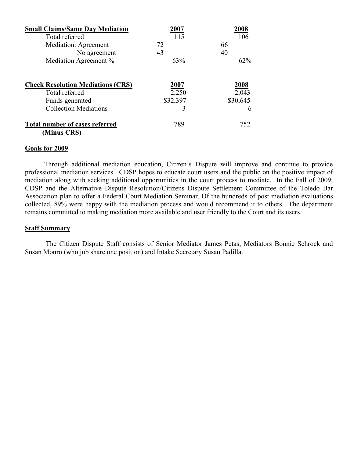| <b>Small Claims/Same Day Mediation</b>   | 2007     | 2008     |
|------------------------------------------|----------|----------|
| Total referred                           | 115      | 106      |
| <b>Mediation: Agreement</b>              | 72       | 66       |
| No agreement                             | 43       | 40       |
| Mediation Agreement %                    | 63%      | 62%      |
| <b>Check Resolution Mediations (CRS)</b> | 2007     | 2008     |
| Total referred                           | 2,250    | 2,043    |
| Funds generated                          | \$32,397 | \$30,645 |
| <b>Collection Mediations</b>             | 3        | 6        |
| <b>Total number of cases referred</b>    | 789      | 752      |
| (Minus CRS)                              |          |          |

# Goals for 2009

Through additional mediation education, Citizen's Dispute will improve and continue to provide professional mediation services. CDSP hopes to educate court users and the public on the positive impact of mediation along with seeking additional opportunities in the court process to mediate. In the Fall of 2009, CDSP and the Alternative Dispute Resolution/Citizens Dispute Settlement Committee of the Toledo Bar Association plan to offer a Federal Court Mediation Seminar. Of the hundreds of post mediation evaluations collected, 89% were happy with the mediation process and would recommend it to others. The department remains committed to making mediation more available and user friendly to the Court and its users.

## **Staff Summary**

The Citizen Dispute Staff consists of Senior Mediator James Petas, Mediators Bonnie Schrock and Susan Monro (who job share one position) and Intake Secretary Susan Padilla.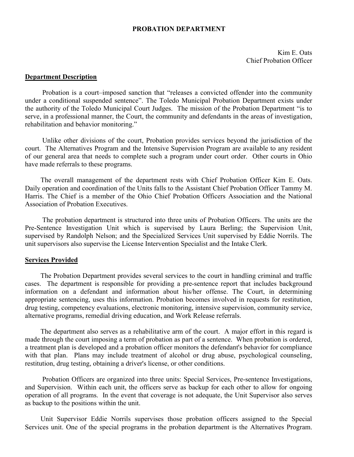## PROBATION DEPARTMENT

Kim E. Oats Chief Probation Officer

# Department Description

Probation is a court–imposed sanction that "releases a convicted offender into the community under a conditional suspended sentence". The Toledo Municipal Probation Department exists under the authority of the Toledo Municipal Court Judges. The mission of the Probation Department "is to serve, in a professional manner, the Court, the community and defendants in the areas of investigation, rehabilitation and behavior monitoring."

Unlike other divisions of the court, Probation provides services beyond the jurisdiction of the court. The Alternatives Program and the Intensive Supervision Program are available to any resident of our general area that needs to complete such a program under court order. Other courts in Ohio have made referrals to these programs.

The overall management of the department rests with Chief Probation Officer Kim E. Oats. Daily operation and coordination of the Units falls to the Assistant Chief Probation Officer Tammy M. Harris. The Chief is a member of the Ohio Chief Probation Officers Association and the National Association of Probation Executives.

The probation department is structured into three units of Probation Officers. The units are the Pre-Sentence Investigation Unit which is supervised by Laura Berling; the Supervision Unit, supervised by Randolph Nelson; and the Specialized Services Unit supervised by Eddie Norrils. The unit supervisors also supervise the License Intervention Specialist and the Intake Clerk.

### **Services Provided**

The Probation Department provides several services to the court in handling criminal and traffic cases. The department is responsible for providing a pre-sentence report that includes background information on a defendant and information about his/her offense. The Court, in determining appropriate sentencing, uses this information. Probation becomes involved in requests for restitution, drug testing, competency evaluations, electronic monitoring, intensive supervision, community service, alternative programs, remedial driving education, and Work Release referrals.

The department also serves as a rehabilitative arm of the court. A major effort in this regard is made through the court imposing a term of probation as part of a sentence. When probation is ordered, a treatment plan is developed and a probation officer monitors the defendant's behavior for compliance with that plan. Plans may include treatment of alcohol or drug abuse, psychological counseling, restitution, drug testing, obtaining a driver's license, or other conditions.

Probation Officers are organized into three units: Special Services, Pre-sentence Investigations, and Supervision. Within each unit, the officers serve as backup for each other to allow for ongoing operation of all programs. In the event that coverage is not adequate, the Unit Supervisor also serves as backup to the positions within the unit.

Unit Supervisor Eddie Norrils supervises those probation officers assigned to the Special Services unit. One of the special programs in the probation department is the Alternatives Program.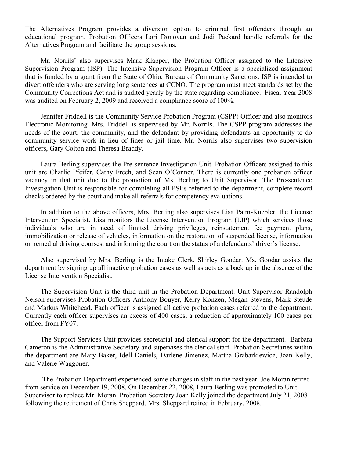The Alternatives Program provides a diversion option to criminal first offenders through an educational program. Probation Officers Lori Donovan and Jodi Packard handle referrals for the Alternatives Program and facilitate the group sessions.

Mr. Norrils' also supervises Mark Klapper, the Probation Officer assigned to the Intensive Supervision Program (ISP). The Intensive Supervision Program Officer is a specialized assignment that is funded by a grant from the State of Ohio, Bureau of Community Sanctions. ISP is intended to divert offenders who are serving long sentences at CCNO. The program must meet standards set by the Community Corrections Act and is audited yearly by the state regarding compliance. Fiscal Year 2008 was audited on February 2, 2009 and received a compliance score of 100%.

Jennifer Friddell is the Community Service Probation Program (CSPP) Officer and also monitors Electronic Monitoring. Mrs. Friddell is supervised by Mr. Norrils. The CSPP program addresses the needs of the court, the community, and the defendant by providing defendants an opportunity to do community service work in lieu of fines or jail time. Mr. Norrils also supervises two supervision officers, Gary Colton and Theresa Braddy.

Laura Berling supervises the Pre-sentence Investigation Unit. Probation Officers assigned to this unit are Charlie Pfeifer, Cathy Freeh, and Sean O'Conner. There is currently one probation officer vacancy in that unit due to the promotion of Ms. Berling to Unit Supervisor. The Pre-sentence Investigation Unit is responsible for completing all PSI's referred to the department, complete record checks ordered by the court and make all referrals for competency evaluations.

In addition to the above officers, Mrs. Berling also supervises Lisa Palm-Kuebler, the License Intervention Specialist. Lisa monitors the License Intervention Program (LIP) which services those individuals who are in need of limited driving privileges, reinstatement fee payment plans, immobilization or release of vehicles, information on the restoration of suspended license, information on remedial driving courses, and informing the court on the status of a defendants' driver's license.

Also supervised by Mrs. Berling is the Intake Clerk, Shirley Goodar. Ms. Goodar assists the department by signing up all inactive probation cases as well as acts as a back up in the absence of the License Intervention Specialist.

The Supervision Unit is the third unit in the Probation Department. Unit Supervisor Randolph Nelson supervises Probation Officers Anthony Bouyer, Kerry Konzen, Megan Stevens, Mark Steude and Markus Whitehead. Each officer is assigned all active probation cases referred to the department. Currently each officer supervises an excess of 400 cases, a reduction of approximately 100 cases per officer from FY07.

The Support Services Unit provides secretarial and clerical support for the department. Barbara Cameron is the Administrative Secretary and supervises the clerical staff. Probation Secretaries within the department are Mary Baker, Idell Daniels, Darlene Jimenez, Martha Grabarkiewicz, Joan Kelly, and Valerie Waggoner.

The Probation Department experienced some changes in staff in the past year. Joe Moran retired from service on December 19, 2008. On December 22, 2008, Laura Berling was promoted to Unit Supervisor to replace Mr. Moran. Probation Secretary Joan Kelly joined the department July 21, 2008 following the retirement of Chris Sheppard. Mrs. Sheppard retired in February, 2008.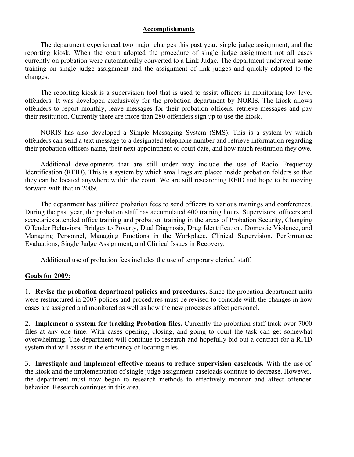# Accomplishments

The department experienced two major changes this past year, single judge assignment, and the reporting kiosk. When the court adopted the procedure of single judge assignment not all cases currently on probation were automatically converted to a Link Judge. The department underwent some training on single judge assignment and the assignment of link judges and quickly adapted to the changes.

The reporting kiosk is a supervision tool that is used to assist officers in monitoring low level offenders. It was developed exclusively for the probation department by NORIS. The kiosk allows offenders to report monthly, leave messages for their probation officers, retrieve messages and pay their restitution. Currently there are more than 280 offenders sign up to use the kiosk.

NORIS has also developed a Simple Messaging System (SMS). This is a system by which offenders can send a text message to a designated telephone number and retrieve information regarding their probation officers name, their next appointment or court date, and how much restitution they owe.

Additional developments that are still under way include the use of Radio Frequency Identification (RFID). This is a system by which small tags are placed inside probation folders so that they can be located anywhere within the court. We are still researching RFID and hope to be moving forward with that in 2009.

The department has utilized probation fees to send officers to various trainings and conferences. During the past year, the probation staff has accumulated 400 training hours. Supervisors, officers and secretaries attended office training and probation training in the areas of Probation Security, Changing Offender Behaviors, Bridges to Poverty, Dual Diagnosis, Drug Identification, Domestic Violence, and Managing Personnel, Managing Emotions in the Workplace, Clinical Supervision, Performance Evaluations, Single Judge Assignment, and Clinical Issues in Recovery.

Additional use of probation fees includes the use of temporary clerical staff.

# Goals for 2009:

1. Revise the probation department policies and procedures. Since the probation department units were restructured in 2007 polices and procedures must be revised to coincide with the changes in how cases are assigned and monitored as well as how the new processes affect personnel.

2. Implement a system for tracking Probation files. Currently the probation staff track over 7000 files at any one time. With cases opening, closing, and going to court the task can get somewhat overwhelming. The department will continue to research and hopefully bid out a contract for a RFID system that will assist in the efficiency of locating files.

3. Investigate and implement effective means to reduce supervision caseloads. With the use of the kiosk and the implementation of single judge assignment caseloads continue to decrease. However, the department must now begin to research methods to effectively monitor and affect offender behavior. Research continues in this area.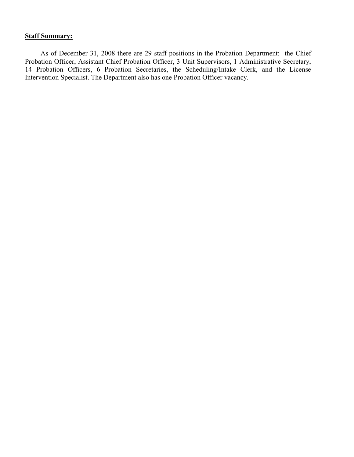# **Staff Summary:**

As of December 31, 2008 there are 29 staff positions in the Probation Department: the Chief Probation Officer, Assistant Chief Probation Officer, 3 Unit Supervisors, 1 Administrative Secretary, 14 Probation Officers, 6 Probation Secretaries, the Scheduling/Intake Clerk, and the License Intervention Specialist. The Department also has one Probation Officer vacancy.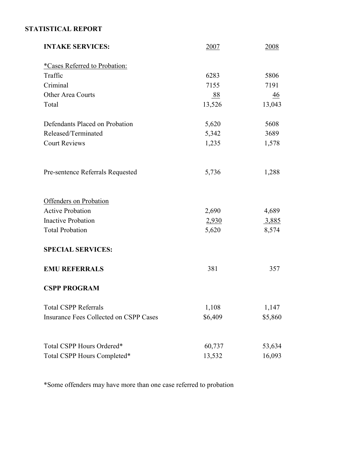# STATISTICAL REPORT

| <b>INTAKE SERVICES:</b>                       | 2007    | 2008    |
|-----------------------------------------------|---------|---------|
| <i>*Cases Referred to Probation:</i>          |         |         |
| Traffic                                       | 6283    | 5806    |
| Criminal                                      | 7155    | 7191    |
| Other Area Courts                             | 88      | 46      |
| Total                                         | 13,526  | 13,043  |
| Defendants Placed on Probation                | 5,620   | 5608    |
| Released/Terminated                           | 5,342   | 3689    |
| <b>Court Reviews</b>                          | 1,235   | 1,578   |
| Pre-sentence Referrals Requested              | 5,736   | 1,288   |
| Offenders on Probation                        |         |         |
| <b>Active Probation</b>                       | 2,690   | 4,689   |
| <b>Inactive Probation</b>                     | 2,930   | 3,885   |
| <b>Total Probation</b>                        | 5,620   | 8,574   |
| <b>SPECIAL SERVICES:</b>                      |         |         |
| <b>EMU REFERRALS</b>                          | 381     | 357     |
| <b>CSPP PROGRAM</b>                           |         |         |
| <b>Total CSPP Referrals</b>                   | 1,108   | 1,147   |
| <b>Insurance Fees Collected on CSPP Cases</b> | \$6,409 | \$5,860 |
|                                               |         |         |
| Total CSPP Hours Ordered*                     | 60,737  | 53,634  |
| Total CSPP Hours Completed*                   | 13,532  | 16,093  |

\*Some offenders may have more than one case referred to probation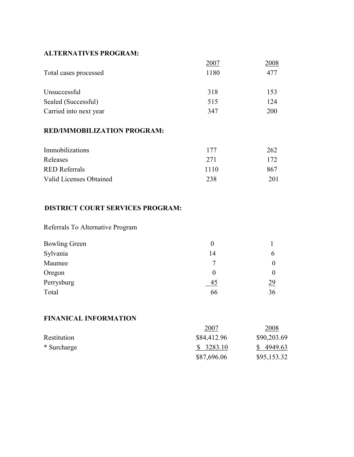# ALTERNATIVES PROGRAM:

|                        | 2007 | 2008 |
|------------------------|------|------|
| Total cases processed  | 1180 | 477  |
|                        |      |      |
| Unsuccessful           | 318  | 153  |
| Sealed (Successful)    | 515  | 124  |
| Carried into next year | 347  | 200  |
|                        |      |      |

# RED/IMMOBILIZATION PROGRAM:

| Immobilizations         | 177  | 262 |
|-------------------------|------|-----|
| Releases                | 271  | 172 |
| <b>RED</b> Referrals    | 1110 | 867 |
| Valid Licenses Obtained | 238  | 201 |

# DISTRICT COURT SERVICES PROGRAM:

Referrals To Alternative Program

| <b>Bowling Green</b> |          |           |
|----------------------|----------|-----------|
| Sylvania             | 14       |           |
| Maumee               |          |           |
| Oregon               | $\theta$ |           |
| Perrysburg           | 45       | <u>29</u> |
| Total                | 66       | 36        |

# FINANICAL INFORMATION

|             | 2007        | 2008        |
|-------------|-------------|-------------|
| Restitution | \$84,412.96 | \$90,203.69 |
| * Surcharge | \$3283.10   | \$4949.63   |
|             | \$87,696.06 | \$95,153.32 |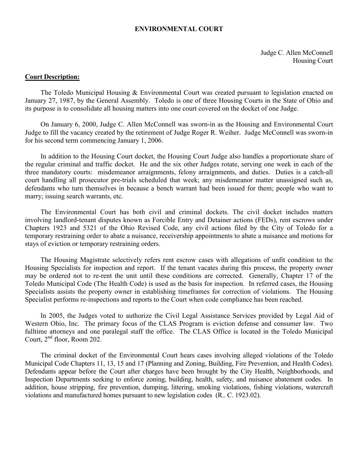### ENVIRONMENTAL COURT

Judge C. Allen McConnell Housing Court

### Court Description:

The Toledo Municipal Housing & Environmental Court was created pursuant to legislation enacted on January 27, 1987, by the General Assembly. Toledo is one of three Housing Courts in the State of Ohio and its purpose is to consolidate all housing matters into one court covered on the docket of one Judge.

On January 6, 2000, Judge C. Allen McConnell was sworn-in as the Housing and Environmental Court Judge to fill the vacancy created by the retirement of Judge Roger R. Weiher. Judge McConnell was sworn-in for his second term commencing January 1, 2006.

In addition to the Housing Court docket, the Housing Court Judge also handles a proportionate share of the regular criminal and traffic docket. He and the six other Judges rotate, serving one week in each of the three mandatory courts: misdemeanor arraignments, felony arraignments, and duties. Duties is a catch-all court handling all prosecutor pre-trials scheduled that week; any misdemeanor matter unassigned such as, defendants who turn themselves in because a bench warrant had been issued for them; people who want to marry; issuing search warrants, etc.

The Environmental Court has both civil and criminal dockets. The civil docket includes matters involving landlord-tenant disputes known as Forcible Entry and Detainer actions (FEDs), rent escrows under Chapters 1923 and 5321 of the Ohio Revised Code, any civil actions filed by the City of Toledo for a temporary restraining order to abate a nuisance, receivership appointments to abate a nuisance and motions for stays of eviction or temporary restraining orders.

The Housing Magistrate selectively refers rent escrow cases with allegations of unfit condition to the Housing Specialists for inspection and report. If the tenant vacates during this process, the property owner may be ordered not to re-rent the unit until these conditions are corrected. Generally, Chapter 17 of the Toledo Municipal Code (The Health Code) is used as the basis for inspection. In referred cases, the Housing Specialists assists the property owner in establishing timeframes for correction of violations. The Housing Specialist performs re-inspections and reports to the Court when code compliance has been reached.

In 2005, the Judges voted to authorize the Civil Legal Assistance Services provided by Legal Aid of Western Ohio, Inc. The primary focus of the CLAS Program is eviction defense and consumer law. Two fulltime attorneys and one paralegal staff the office. The CLAS Office is located in the Toledo Municipal Court, 2nd floor, Room 202.

The criminal docket of the Environmental Court hears cases involving alleged violations of the Toledo Municipal Code Chapters 11, 13, 15 and 17 (Planning and Zoning, Building, Fire Prevention, and Health Codes). Defendants appear before the Court after charges have been brought by the City Health, Neighborhoods, and Inspection Departments seeking to enforce zoning, building, health, safety, and nuisance abatement codes. In addition, house stripping, fire prevention, dumping, littering, smoking violations, fishing violations, watercraft violations and manufactured homes pursuant to new legislation codes (R.. C. 1923.02).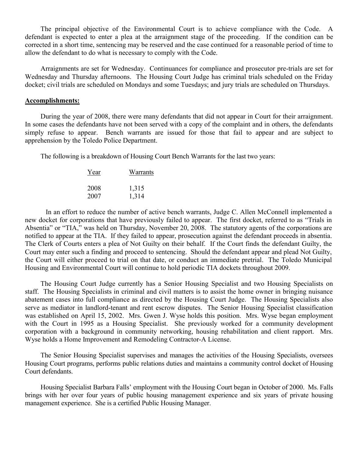The principal objective of the Environmental Court is to achieve compliance with the Code. A defendant is expected to enter a plea at the arraignment stage of the proceeding. If the condition can be corrected in a short time, sentencing may be reserved and the case continued for a reasonable period of time to allow the defendant to do what is necessary to comply with the Code.

Arraignments are set for Wednesday. Continuances for compliance and prosecutor pre-trials are set for Wednesday and Thursday afternoons. The Housing Court Judge has criminal trials scheduled on the Friday docket; civil trials are scheduled on Mondays and some Tuesdays; and jury trials are scheduled on Thursdays.

### Accomplishments:

During the year of 2008, there were many defendants that did not appear in Court for their arraignment. In some cases the defendants have not been served with a copy of the complaint and in others, the defendants simply refuse to appear. Bench warrants are issued for those that fail to appear and are subject to apprehension by the Toledo Police Department.

The following is a breakdown of Housing Court Bench Warrants for the last two years:

| Year | Warrants |
|------|----------|
| 2008 | 1,315    |
| 2007 | 1,314    |

In an effort to reduce the number of active bench warrants, Judge C. Allen McConnell implemented a new docket for corporations that have previously failed to appear. The first docket, referred to as "Trials in Absentia" or "TIA," was held on Thursday, November 20, 2008. The statutory agents of the corporations are notified to appear at the TIA. If they failed to appear, prosecution against the defendant proceeds in absentia. The Clerk of Courts enters a plea of Not Guilty on their behalf. If the Court finds the defendant Guilty, the Court may enter such a finding and proceed to sentencing. Should the defendant appear and plead Not Guilty, the Court will either proceed to trial on that date, or conduct an immediate pretrial. The Toledo Municipal Housing and Environmental Court will continue to hold periodic TIA dockets throughout 2009.

The Housing Court Judge currently has a Senior Housing Specialist and two Housing Specialists on staff. The Housing Specialists in criminal and civil matters is to assist the home owner in bringing nuisance abatement cases into full compliance as directed by the Housing Court Judge. The Housing Specialists also serve as mediator in landlord-tenant and rent escrow disputes. The Senior Housing Specialist classification was established on April 15, 2002. Mrs. Gwen J. Wyse holds this position. Mrs. Wyse began employment with the Court in 1995 as a Housing Specialist. She previously worked for a community development corporation with a background in community networking, housing rehabilitation and client rapport. Mrs. Wyse holds a Home Improvement and Remodeling Contractor-A License.

The Senior Housing Specialist supervises and manages the activities of the Housing Specialists, oversees Housing Court programs, performs public relations duties and maintains a community control docket of Housing Court defendants.

Housing Specialist Barbara Falls' employment with the Housing Court began in October of 2000. Ms. Falls brings with her over four years of public housing management experience and six years of private housing management experience. She is a certified Public Housing Manager.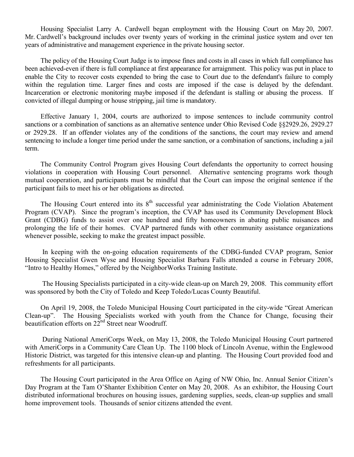Housing Specialist Larry A. Cardwell began employment with the Housing Court on May 20, 2007. Mr. Cardwell's background includes over twenty years of working in the criminal justice system and over ten years of administrative and management experience in the private housing sector.

The policy of the Housing Court Judge is to impose fines and costs in all cases in which full compliance has been achieved-even if there is full compliance at first appearance for arraignment. This policy was put in place to enable the City to recover costs expended to bring the case to Court due to the defendant's failure to comply within the regulation time. Larger fines and costs are imposed if the case is delayed by the defendant. Incarceration or electronic monitoring maybe imposed if the defendant is stalling or abusing the process. If convicted of illegal dumping or house stripping, jail time is mandatory.

Effective January 1, 2004, courts are authorized to impose sentences to include community control sanctions or a combination of sanctions as an alternative sentence under Ohio Revised Code §§2929.26, 2929.27 or 2929.28. If an offender violates any of the conditions of the sanctions, the court may review and amend sentencing to include a longer time period under the same sanction, or a combination of sanctions, including a jail term.

The Community Control Program gives Housing Court defendants the opportunity to correct housing violations in cooperation with Housing Court personnel. Alternative sentencing programs work though mutual cooperation, and participants must be mindful that the Court can impose the original sentence if the participant fails to meet his or her obligations as directed.

The Housing Court entered into its  $8<sup>th</sup>$  successful year administrating the Code Violation Abatement Program (CVAP). Since the program's inception, the CVAP has used its Community Development Block Grant (CDBG) funds to assist over one hundred and fifty homeowners in abating public nuisances and prolonging the life of their homes. CVAP partnered funds with other community assistance organizations whenever possible, seeking to make the greatest impact possible.

In keeping with the on-going education requirements of the CDBG-funded CVAP program, Senior Housing Specialist Gwen Wyse and Housing Specialist Barbara Falls attended a course in February 2008, "Intro to Healthy Homes," offered by the NeighborWorks Training Institute.

The Housing Specialists participated in a city-wide clean-up on March 29, 2008. This community effort was sponsored by both the City of Toledo and Keep Toledo/Lucas County Beautiful.

On April 19, 2008, the Toledo Municipal Housing Court participated in the city-wide "Great American Clean-up". The Housing Specialists worked with youth from the Chance for Change, focusing their beautification efforts on  $22^{nd}$  Street near Woodruff.

 During National AmeriCorps Week, on May 13, 2008, the Toledo Municipal Housing Court partnered with AmeriCorps in a Community Care Clean Up. The 1100 block of Lincoln Avenue, within the Englewood Historic District, was targeted for this intensive clean-up and planting. The Housing Court provided food and refreshments for all participants.

The Housing Court participated in the Area Office on Aging of NW Ohio, Inc. Annual Senior Citizen's Day Program at the Tam O'Shanter Exhibition Center on May 20, 2008. As an exhibitor, the Housing Court distributed informational brochures on housing issues, gardening supplies, seeds, clean-up supplies and small home improvement tools. Thousands of senior citizens attended the event.